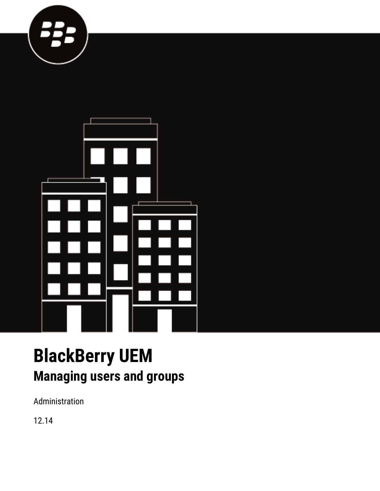



# **BlackBerry UEM Managing users and groups**

Administration

12.14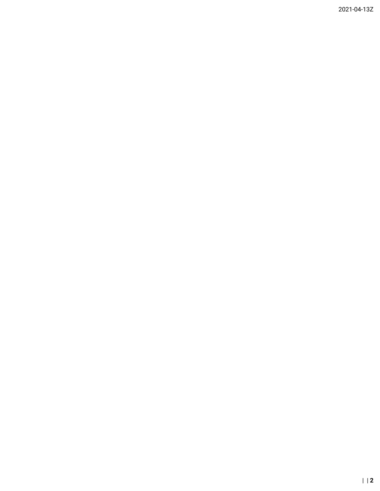2021-04-13Z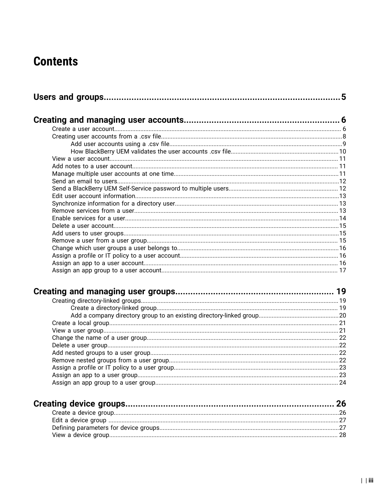# **Contents**

| 26 |
|----|
|    |

| Anna active diambatturum est communescutione di communities ex- |  |
|-----------------------------------------------------------------|--|
|                                                                 |  |
|                                                                 |  |
|                                                                 |  |
|                                                                 |  |
|                                                                 |  |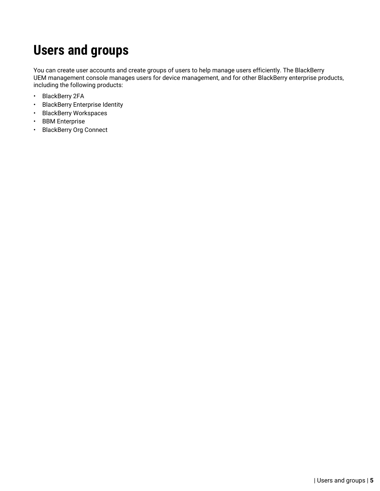# <span id="page-4-0"></span>**Users and groups**

You can create user accounts and create groups of users to help manage users efficiently. The BlackBerry UEM management console manages users for device management, and for other BlackBerry enterprise products, including the following products:

- BlackBerry 2FA
- BlackBerry Enterprise Identity
- BlackBerry Workspaces
- BBM Enterprise
- BlackBerry Org Connect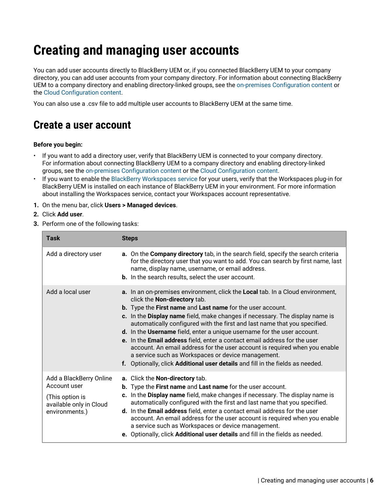# <span id="page-5-0"></span>**Creating and managing user accounts**

You can add user accounts directly to BlackBerry UEM or, if you connected BlackBerry UEM to your company directory, you can add user accounts from your company directory. For information about connecting BlackBerry UEM to a company directory and enabling directory-linked groups, see the [on-premises Configuration content](https://docs.blackberry.com/en/endpoint-management/blackberry-uem/12_14/installation-configuration/configuration/car1421424562148) or the [Cloud Configuration content](https://docs.blackberry.com/en/endpoint-management/blackberry-uem/current/installation-configuration/cloud-configuration/car1421424562148.html).

You can also use a .csv file to add multiple user accounts to BlackBerry UEM at the same time.

## <span id="page-5-1"></span>**Create a user account**

#### **Before you begin:**

- If you want to add a directory user, verify that BlackBerry UEM is connected to your company directory. For information about connecting BlackBerry UEM to a company directory and enabling directory-linked groups, see the [on-premises Configuration content](https://docs.blackberry.com/en/endpoint-management/blackberry-uem/12_14/installation-configuration/configuration/car1421424562148) or the [Cloud Configuration content.](https://docs.blackberry.com/en/endpoint-management/blackberry-uem/current/installation-configuration/cloud-configuration/get15233768326701.html)
- If you want to enable the [BlackBerry Workspaces service](https://docs.blackberry.com/en/id-comm-collab/blackberry-workspaces) for your users, verify that the Workspaces plug-in for BlackBerry UEM is installed on each instance of BlackBerry UEM in your environment. For more information about installing the Workspaces service, contact your Workspaces account representative.
- **1.** On the menu bar, click **Users > Managed devices**.
- **2.** Click **Add user**.
- **3.** Perform one of the following tasks:

| <b>Task</b>                                                                                             | <b>Steps</b>                                                                                                                                                                                                                                                                                                                                                                                                                                                                                                                                                                                                                                                                                                            |
|---------------------------------------------------------------------------------------------------------|-------------------------------------------------------------------------------------------------------------------------------------------------------------------------------------------------------------------------------------------------------------------------------------------------------------------------------------------------------------------------------------------------------------------------------------------------------------------------------------------------------------------------------------------------------------------------------------------------------------------------------------------------------------------------------------------------------------------------|
| Add a directory user                                                                                    | a. On the Company directory tab, in the search field, specify the search criteria<br>for the directory user that you want to add. You can search by first name, last<br>name, display name, username, or email address.<br><b>b.</b> In the search results, select the user account.                                                                                                                                                                                                                                                                                                                                                                                                                                    |
| Add a local user                                                                                        | a. In an on-premises environment, click the Local tab. In a Cloud environment,<br>click the Non-directory tab.<br>b. Type the First name and Last name for the user account.<br>c. In the Display name field, make changes if necessary. The display name is<br>automatically configured with the first and last name that you specified.<br>d. In the Username field, enter a unique username for the user account.<br>e. In the Email address field, enter a contact email address for the user<br>account. An email address for the user account is required when you enable<br>a service such as Workspaces or device management.<br>f. Optionally, click Additional user details and fill in the fields as needed. |
| Add a BlackBerry Online<br>Account user<br>(This option is<br>available only in Cloud<br>environments.) | a. Click the Non-directory tab.<br><b>b.</b> Type the First name and Last name for the user account.<br>c. In the Display name field, make changes if necessary. The display name is<br>automatically configured with the first and last name that you specified.<br>d. In the Email address field, enter a contact email address for the user<br>account. An email address for the user account is required when you enable<br>a service such as Workspaces or device management.<br>e. Optionally, click Additional user details and fill in the fields as needed.                                                                                                                                                    |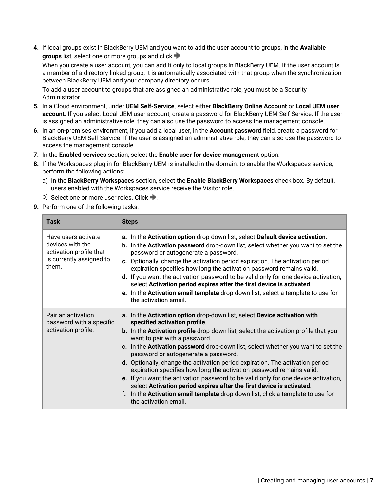**4.** If local groups exist in BlackBerry UEM and you want to add the user account to groups, in the **Available groups** list, select one or more groups and click  $\blacktriangleright$ .

When you create a user account, you can add it only to local groups in BlackBerry UEM. If the user account is a member of a directory-linked group, it is automatically associated with that group when the synchronization between BlackBerry UEM and your company directory occurs.

To add a user account to groups that are assigned an administrative role, you must be a Security Administrator.

- **5.** In a Cloud environment, under **UEM Self-Service**, select either **BlackBerry Online Account** or **Local UEM user account**. If you select Local UEM user account, create a password for BlackBerry UEM Self-Service. If the user is assigned an administrative role, they can also use the password to access the management console.
- **6.** In an on-premises environment, if you add a local user, in the **Account password** field, create a password for BlackBerry UEM Self-Service. If the user is assigned an administrative role, they can also use the password to access the management console.
- **7.** In the **Enabled services** section, select the **Enable user for device management** option.
- **8.** If the Workspaces plug-in for BlackBerry UEM is installed in the domain, to enable the Workspaces service, perform the following actions:
	- a) In the **BlackBerry Workspaces** section, select the **Enable BlackBerry Workspaces** check box. By default, users enabled with the Workspaces service receive the Visitor role.
	- b) Select one or more user roles. Click  $\blacktriangleright$ .
- **9.** Perform one of the following tasks:

| <b>Task</b>                                                                                             | <b>Steps</b>                                                                                                                                                                                                                                                                                                                                                                                                                                                                                                                                                                                                                                                                                                                                                                                                 |
|---------------------------------------------------------------------------------------------------------|--------------------------------------------------------------------------------------------------------------------------------------------------------------------------------------------------------------------------------------------------------------------------------------------------------------------------------------------------------------------------------------------------------------------------------------------------------------------------------------------------------------------------------------------------------------------------------------------------------------------------------------------------------------------------------------------------------------------------------------------------------------------------------------------------------------|
| Have users activate<br>devices with the<br>activation profile that<br>is currently assigned to<br>them. | a. In the Activation option drop-down list, select Default device activation.<br><b>b.</b> In the <b>Activation password</b> drop-down list, select whether you want to set the<br>password or autogenerate a password.<br>c. Optionally, change the activation period expiration. The activation period<br>expiration specifies how long the activation password remains valid.<br>d. If you want the activation password to be valid only for one device activation,<br>select Activation period expires after the first device is activated.<br>e. In the Activation email template drop-down list, select a template to use for<br>the activation email.                                                                                                                                                 |
| Pair an activation<br>password with a specific<br>activation profile.                                   | a. In the Activation option drop-down list, select Device activation with<br>specified activation profile.<br>b. In the Activation profile drop-down list, select the activation profile that you<br>want to pair with a password.<br>c. In the Activation password drop-down list, select whether you want to set the<br>password or autogenerate a password.<br>d. Optionally, change the activation period expiration. The activation period<br>expiration specifies how long the activation password remains valid.<br>e. If you want the activation password to be valid only for one device activation,<br>select Activation period expires after the first device is activated.<br>In the <b>Activation email template</b> drop-down list, click a template to use for<br>f.<br>the activation email. |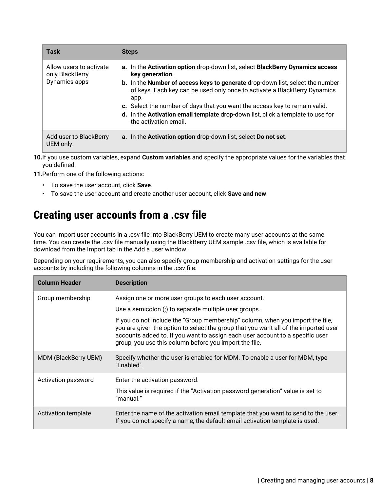| Task                                                        | <b>Steps</b>                                                                                                                                                                                                                                                                                                                                                                                                                                                                   |
|-------------------------------------------------------------|--------------------------------------------------------------------------------------------------------------------------------------------------------------------------------------------------------------------------------------------------------------------------------------------------------------------------------------------------------------------------------------------------------------------------------------------------------------------------------|
| Allow users to activate<br>only BlackBerry<br>Dynamics apps | a. In the Activation option drop-down list, select BlackBerry Dynamics access<br>key generation.<br><b>b.</b> In the <b>Number of access keys to generate</b> drop-down list, select the number<br>of keys. Each key can be used only once to activate a BlackBerry Dynamics<br>app.<br>c. Select the number of days that you want the access key to remain valid.<br>d. In the Activation email template drop-down list, click a template to use for<br>the activation email. |
| Add user to BlackBerry<br>UEM only.                         | a. In the Activation option drop-down list, select Do not set.                                                                                                                                                                                                                                                                                                                                                                                                                 |

**10.**If you use custom variables, expand **Custom variables** and specify the appropriate values for the variables that you defined.

**11.**Perform one of the following actions:

- To save the user account, click **Save**.
- To save the user account and create another user account, click **Save and new**.

## <span id="page-7-0"></span>**Creating user accounts from a .csv file**

You can import user accounts in a .csv file into BlackBerry UEM to create many user accounts at the same time. You can create the .csv file manually using the BlackBerry UEM sample .csv file, which is available for download from the Import tab in the Add a user window.

Depending on your requirements, you can also specify group membership and activation settings for the user accounts by including the following columns in the .csv file:

| <b>Column Header</b> | <b>Description</b>                                                                                                                                                                                                                                                                                               |
|----------------------|------------------------------------------------------------------------------------------------------------------------------------------------------------------------------------------------------------------------------------------------------------------------------------------------------------------|
| Group membership     | Assign one or more user groups to each user account.                                                                                                                                                                                                                                                             |
|                      | Use a semicolon (;) to separate multiple user groups.                                                                                                                                                                                                                                                            |
|                      | If you do not include the "Group membership" column, when you import the file,<br>you are given the option to select the group that you want all of the imported user<br>accounts added to. If you want to assign each user account to a specific user<br>group, you use this column before you import the file. |
| MDM (BlackBerry UEM) | Specify whether the user is enabled for MDM. To enable a user for MDM, type<br>"Enabled".                                                                                                                                                                                                                        |
| Activation password  | Enter the activation password.                                                                                                                                                                                                                                                                                   |
|                      | This value is required if the "Activation password generation" value is set to<br>"manual."                                                                                                                                                                                                                      |
| Activation template  | Enter the name of the activation email template that you want to send to the user.<br>If you do not specify a name, the default email activation template is used.                                                                                                                                               |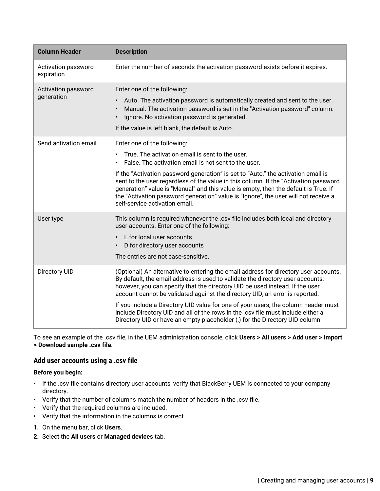| <b>Column Header</b>              | <b>Description</b>                                                                                                                                                                                                                                                                                                                                                                                                                                                                                                                                                                               |  |
|-----------------------------------|--------------------------------------------------------------------------------------------------------------------------------------------------------------------------------------------------------------------------------------------------------------------------------------------------------------------------------------------------------------------------------------------------------------------------------------------------------------------------------------------------------------------------------------------------------------------------------------------------|--|
| Activation password<br>expiration | Enter the number of seconds the activation password exists before it expires.                                                                                                                                                                                                                                                                                                                                                                                                                                                                                                                    |  |
| Activation password<br>generation | Enter one of the following:<br>Auto. The activation password is automatically created and sent to the user.<br>$\bullet$<br>Manual. The activation password is set in the "Activation password" column.<br>$\bullet$<br>Ignore. No activation password is generated.<br>If the value is left blank, the default is Auto.                                                                                                                                                                                                                                                                         |  |
| Send activation email             | Enter one of the following:<br>True. The activation email is sent to the user.<br>$\bullet$<br>False. The activation email is not sent to the user.<br>If the "Activation password generation" is set to "Auto," the activation email is<br>sent to the user regardless of the value in this column. If the "Activation password<br>generation" value is "Manual" and this value is empty, then the default is True. If<br>the "Activation password generation" value is "Ignore", the user will not receive a<br>self-service activation email.                                                 |  |
| User type                         | This column is required whenever the .csv file includes both local and directory<br>user accounts. Enter one of the following:<br>L for local user accounts<br>$\bullet$<br>D for directory user accounts<br>The entries are not case-sensitive.                                                                                                                                                                                                                                                                                                                                                 |  |
| Directory UID                     | (Optional) An alternative to entering the email address for directory user accounts.<br>By default, the email address is used to validate the directory user accounts;<br>however, you can specify that the directory UID be used instead. If the user<br>account cannot be validated against the directory UID, an error is reported.<br>If you include a Directory UID value for one of your users, the column header must<br>include Directory UID and all of the rows in the .csv file must include either a<br>Directory UID or have an empty placeholder (,) for the Directory UID column. |  |

To see an example of the .csv file, in the UEM administration console, click **Users > All users > Add user > Import > Download sample .csv file**.

### <span id="page-8-0"></span>**Add user accounts using a .csv file**

#### **Before you begin:**

- If the .csv file contains directory user accounts, verify that BlackBerry UEM is connected to your company directory.
- Verify that the number of columns match the number of headers in the .csv file.
- Verify that the required columns are included.
- Verify that the information in the columns is correct.
- **1.** On the menu bar, click **Users**.
- **2.** Select the **All users** or **Managed devices** tab.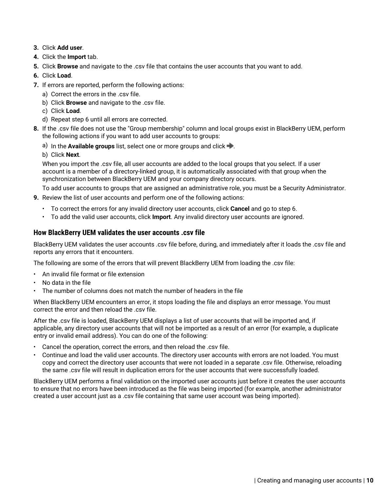- **3.** Click **Add user**.
- **4.** Click the **Import** tab.
- **5.** Click **Browse** and navigate to the .csv file that contains the user accounts that you want to add.
- **6.** Click **Load**.
- **7.** If errors are reported, perform the following actions:
	- a) Correct the errors in the .csv file.
	- b) Click **Browse** and navigate to the .csv file.
	- c) Click **Load**.
	- d) Repeat step 6 until all errors are corrected.
- **8.** If the .csv file does not use the "Group membership" column and local groups exist in BlackBerry UEM, perform the following actions if you want to add user accounts to groups:
	- a) In the **Available groups** list, select one or more groups and click **...**
	- b) Click **Next**.

When you import the .csv file, all user accounts are added to the local groups that you select. If a user account is a member of a directory-linked group, it is automatically associated with that group when the synchronization between BlackBerry UEM and your company directory occurs.

To add user accounts to groups that are assigned an administrative role, you must be a Security Administrator.

- **9.** Review the list of user accounts and perform one of the following actions:
	- To correct the errors for any invalid directory user accounts, click **Cancel** and go to step 6.
	- To add the valid user accounts, click **Import**. Any invalid directory user accounts are ignored.

### <span id="page-9-0"></span>**How BlackBerry UEM validates the user accounts .csv file**

BlackBerry UEM validates the user accounts .csv file before, during, and immediately after it loads the .csv file and reports any errors that it encounters.

The following are some of the errors that will prevent BlackBerry UEM from loading the .csv file:

- An invalid file format or file extension
- No data in the file
- The number of columns does not match the number of headers in the file

When BlackBerry UEM encounters an error, it stops loading the file and displays an error message. You must correct the error and then reload the .csv file.

After the .csv file is loaded, BlackBerry UEM displays a list of user accounts that will be imported and, if applicable, any directory user accounts that will not be imported as a result of an error (for example, a duplicate entry or invalid email address). You can do one of the following:

- Cancel the operation, correct the errors, and then reload the .csv file.
- Continue and load the valid user accounts. The directory user accounts with errors are not loaded. You must copy and correct the directory user accounts that were not loaded in a separate .csv file. Otherwise, reloading the same .csv file will result in duplication errors for the user accounts that were successfully loaded.

BlackBerry UEM performs a final validation on the imported user accounts just before it creates the user accounts to ensure that no errors have been introduced as the file was being imported (for example, another administrator created a user account just as a .csv file containing that same user account was being imported).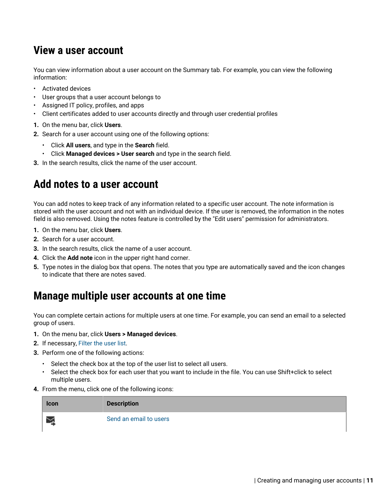# <span id="page-10-0"></span>**View a user account**

You can view information about a user account on the Summary tab. For example, you can view the following information:

- Activated devices
- User groups that a user account belongs to
- Assigned IT policy, profiles, and apps
- Client certificates added to user accounts directly and through user credential profiles
- **1.** On the menu bar, click **Users**.
- **2.** Search for a user account using one of the following options:
	- Click **All users**, and type in the **Search** field.
	- Click **Managed devices > User search** and type in the search field.
- **3.** In the search results, click the name of the user account.

# <span id="page-10-1"></span>**Add notes to a user account**

You can add notes to keep track of any information related to a specific user account. The note information is stored with the user account and not with an individual device. If the user is removed, the information in the notes field is also removed. Using the notes feature is controlled by the "Edit users" permission for administrators.

- **1.** On the menu bar, click **Users**.
- **2.** Search for a user account.
- **3.** In the search results, click the name of a user account.
- **4.** Click the **Add note** icon in the upper right hand corner.
- **5.** Type notes in the dialog box that opens. The notes that you type are automatically saved and the icon changes to indicate that there are notes saved.

### <span id="page-10-2"></span>**Manage multiple user accounts at one time**

You can complete certain actions for multiple users at one time. For example, you can send an email to a selected group of users.

- **1.** On the menu bar, click **Users > Managed devices**.
- **2.** If necessary, [Filter the user list.](#page-40-3)
- **3.** Perform one of the following actions:
	- Select the check box at the top of the user list to select all users.
	- Select the check box for each user that you want to include in the file. You can use Shift+click to select multiple users.
- **4.** From the menu, click one of the following icons:

| <b>Icon</b> | <b>Description</b>     |
|-------------|------------------------|
|             | Send an email to users |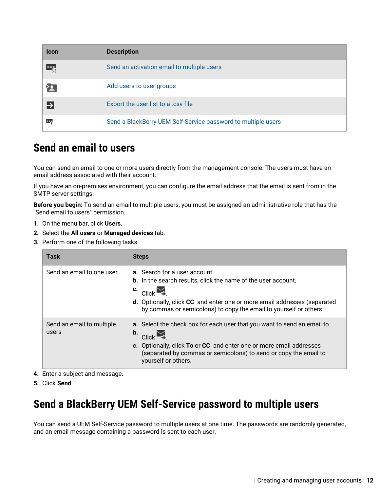| <b>Icon</b> | <b>Description</b>                                            |
|-------------|---------------------------------------------------------------|
|             | Send an activation email to multiple users                    |
| ≻⊥          | Add users to user groups                                      |
| Ð           | Export the user list to a .csv file                           |
| <b>WEE</b>  | Send a BlackBerry UEM Self-Service password to multiple users |

# <span id="page-11-0"></span>**Send an email to users**

You can send an email to one or more users directly from the management console. The users must have an email address associated with their account.

If you have an on-premises environment, you can configure the email address that the email is sent from in the SMTP server settings.

**Before you begin:** To send an email to multiple users, you must be assigned an administrative role that has the "Send email to users" permission.

- **1.** On the menu bar, click **Users**.
- **2.** Select the **All users** or **Managed devices** tab.
- **3.** Perform one of the following tasks:

| Task                               | <b>Steps</b>                                                                                                                                                                                                                                                                            |  |
|------------------------------------|-----------------------------------------------------------------------------------------------------------------------------------------------------------------------------------------------------------------------------------------------------------------------------------------|--|
| Send an email to one user          | <b>a.</b> Search for a user account.<br><b>b.</b> In the search results, click the name of the user account.<br>c. Click<br>d. Optionally, click CC and enter one or more email addresses (separated<br>by commas or semicolons) to copy the email to yourself or others.               |  |
| Send an email to multiple<br>users | a. Select the check box for each user that you want to send an email to.<br>$\mathsf{b.}$ Click $\blacktriangleright$<br>c. Optionally, click To or CC and enter one or more email addresses<br>(separated by commas or semicolons) to send or copy the email to<br>yourself or others. |  |

**4.** Enter a subject and message.

**5.** Click **Send**.

# <span id="page-11-1"></span>**Send a BlackBerry UEM Self-Service password to multiple users**

You can send a UEM Self-Service password to multiple users at one time. The passwords are randomly generated, and an email message containing a password is sent to each user.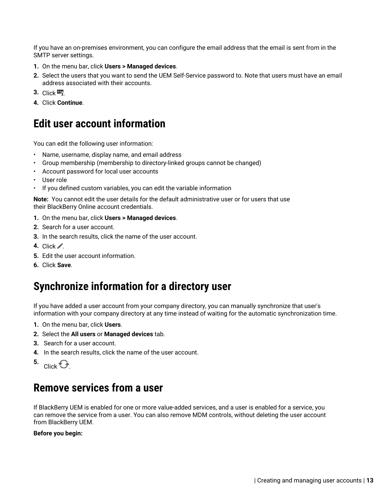If you have an on-premises environment, you can configure the email address that the email is sent from in the SMTP server settings.

- **1.** On the menu bar, click **Users > Managed devices**.
- **2.** Select the users that you want to send the UEM Self-Service password to. Note that users must have an email address associated with their accounts.
- 3. Click  $\mathbb{F}$ .
- **4.** Click **Continue**.

## <span id="page-12-0"></span>**Edit user account information**

You can edit the following user information:

- Name, username, display name, and email address
- Group membership (membership to directory-linked groups cannot be changed)
- Account password for local user accounts
- User role
- If you defined custom variables, you can edit the variable information

**Note:** You cannot edit the user details for the default administrative user or for users that use their BlackBerry Online account credentials.

- **1.** On the menu bar, click **Users > Managed devices**.
- **2.** Search for a user account.
- **3.** In the search results, click the name of the user account.
- **4.** Click **∕**.
- **5.** Edit the user account information.
- **6.** Click **Save**.

# <span id="page-12-1"></span>**Synchronize information for a directory user**

If you have added a user account from your company directory, you can manually synchronize that user's information with your company directory at any time instead of waiting for the automatic synchronization time.

- **1.** On the menu bar, click **Users**.
- **2.** Select the **All users** or **Managed devices** tab.
- **3.** Search for a user account.
- **4.** In the search results, click the name of the user account.

```
5. Click
```
### <span id="page-12-2"></span>**Remove services from a user**

If BlackBerry UEM is enabled for one or more value-added services, and a user is enabled for a service, you can remove the service from a user. You can also remove MDM controls, without deleting the user account from BlackBerry UEM.

#### **Before you begin:**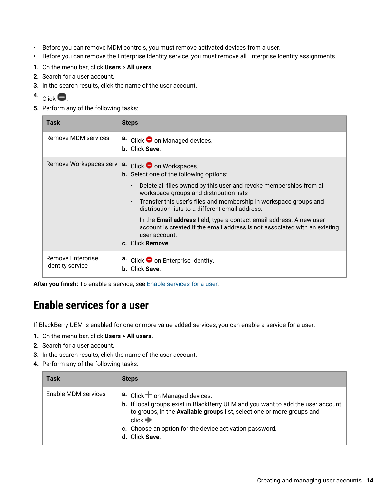- Before you can remove MDM controls, you must remove activated devices from a user.
- Before you can remove the Enterprise Identity service, you must remove all Enterprise Identity assignments.
- **1.** On the menu bar, click **Users > All users**.
- **2.** Search for a user account.
- **3.** In the search results, click the name of the user account.
- **4.** Click  $\bullet$
- **5.** Perform any of the following tasks:

| <b>Task</b>                           | <b>Steps</b>                                                                                                                                                                                                                                                                                                                                                                                                                                                                                                                                                    |  |
|---------------------------------------|-----------------------------------------------------------------------------------------------------------------------------------------------------------------------------------------------------------------------------------------------------------------------------------------------------------------------------------------------------------------------------------------------------------------------------------------------------------------------------------------------------------------------------------------------------------------|--|
| Remove MDM services                   | a. Click $\bullet$ on Managed devices.<br><b>b.</b> Click Save.                                                                                                                                                                                                                                                                                                                                                                                                                                                                                                 |  |
|                                       | Remove Workspaces servi a. Click O on Workspaces.<br><b>b.</b> Select one of the following options:<br>Delete all files owned by this user and revoke memberships from all<br>$\bullet$<br>workspace groups and distribution lists<br>• Transfer this user's files and membership in workspace groups and<br>distribution lists to a different email address.<br>In the <b>Email address</b> field, type a contact email address. A new user<br>account is created if the email address is not associated with an existing<br>user account.<br>c. Click Remove. |  |
| Remove Enterprise<br>Identity service | <b>a.</b> Click $\bullet$ on Enterprise Identity.<br><b>b.</b> Click Save.                                                                                                                                                                                                                                                                                                                                                                                                                                                                                      |  |

**After you finish:** To enable a service, see [Enable services for a user.](#page-13-0)

# <span id="page-13-0"></span>**Enable services for a user**

If BlackBerry UEM is enabled for one or more value-added services, you can enable a service for a user.

- **1.** On the menu bar, click **Users > All users**.
- **2.** Search for a user account.
- **3.** In the search results, click the name of the user account.
- **4.** Perform any of the following tasks:

| Task                | <b>Steps</b>                                                                                                                                                                                                                                                                                                      |  |
|---------------------|-------------------------------------------------------------------------------------------------------------------------------------------------------------------------------------------------------------------------------------------------------------------------------------------------------------------|--|
| Enable MDM services | <b>a.</b> Click $+$ on Managed devices.<br><b>b.</b> If local groups exist in BlackBerry UEM and you want to add the user account<br>to groups, in the Available groups list, select one or more groups and<br>$click \rightarrow$ .<br>c. Choose an option for the device activation password.<br>d. Click Save. |  |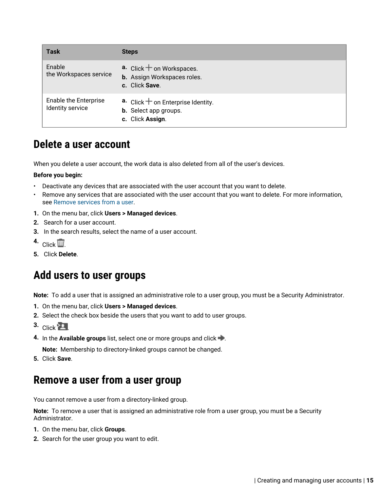| Task                                             | <b>Steps</b>                                                                                    |
|--------------------------------------------------|-------------------------------------------------------------------------------------------------|
| Enable<br>the Workspaces service                 | <b>a.</b> Click $+$ on Workspaces.<br><b>b.</b> Assign Workspaces roles.<br>c. Click Save.      |
| <b>Enable the Enterprise</b><br>Identity service | <b>a.</b> Click $+$ on Enterprise Identity.<br><b>b.</b> Select app groups.<br>c. Click Assign. |

### <span id="page-14-0"></span>**Delete a user account**

When you delete a user account, the work data is also deleted from all of the user's devices.

#### **Before you begin:**

- Deactivate any devices that are associated with the user account that you want to delete.
- Remove any services that are associated with the user account that you want to delete. For more information, see [Remove services from a user](#page-12-2).
- **1.** On the menu bar, click **Users > Managed devices**.
- **2.** Search for a user account.
- **3.** In the search results, select the name of a user account.
- $4.$  Click  $\overline{11}$ .
- **5.** Click **Delete**.

## <span id="page-14-1"></span>**Add users to user groups**

**Note:** To add a user that is assigned an administrative role to a user group, you must be a Security Administrator.

- **1.** On the menu bar, click **Users > Managed devices**.
- **2.** Select the check box beside the users that you want to add to user groups.
- $3.$  Click  $2$
- **4.** In the **Available groups** list, select one or more groups and click .

**Note:** Membership to directory-linked groups cannot be changed.

**5.** Click **Save**.

# <span id="page-14-2"></span>**Remove a user from a user group**

You cannot remove a user from a directory-linked group.

**Note:** To remove a user that is assigned an administrative role from a user group, you must be a Security Administrator.

- **1.** On the menu bar, click **Groups**.
- **2.** Search for the user group you want to edit.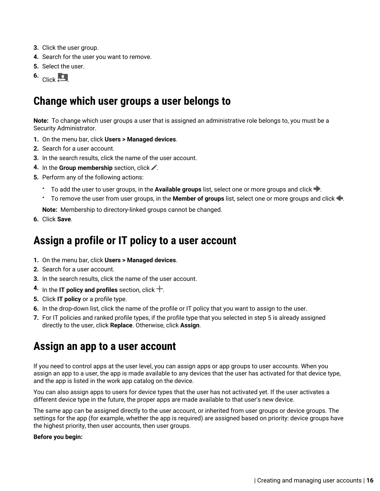- **3.** Click the user group.
- **4.** Search for the user you want to remove.
- **5.** Select the user.
- $6.$  Click  $\blacksquare$

# <span id="page-15-0"></span>**Change which user groups a user belongs to**

**Note:** To change which user groups a user that is assigned an administrative role belongs to, you must be a Security Administrator.

- **1.** On the menu bar, click **Users > Managed devices**.
- **2.** Search for a user account.
- **3.** In the search results, click the name of the user account.
- **4.** In the **Group membership** section, click  $\lambda$ .
- **5.** Perform any of the following actions:
	- To add the user to user groups, in the **Available groups** list, select one or more groups and click **.**
	- To remove the user from user groups, in the **Member of groups** list, select one or more groups and click  $\blacktriangle$ .

**Note:** Membership to directory-linked groups cannot be changed.

**6.** Click **Save**.

### <span id="page-15-1"></span>**Assign a profile or IT policy to a user account**

- **1.** On the menu bar, click **Users > Managed devices**.
- **2.** Search for a user account.
- **3.** In the search results, click the name of the user account.
- **4.** In the **IT policy and profiles** section, click  $+$ .
- **5.** Click **IT policy** or a profile type.
- **6.** In the drop-down list, click the name of the profile or IT policy that you want to assign to the user.
- **7.** For IT policies and ranked profile types, if the profile type that you selected in step 5 is already assigned directly to the user, click **Replace**. Otherwise, click **Assign**.

## <span id="page-15-2"></span>**Assign an app to a user account**

If you need to control apps at the user level, you can assign apps or app groups to user accounts. When you assign an app to a user, the app is made available to any devices that the user has activated for that device type, and the app is listed in the work app catalog on the device.

You can also assign apps to users for device types that the user has not activated yet. If the user activates a different device type in the future, the proper apps are made available to that user's new device.

The same app can be assigned directly to the user account, or inherited from user groups or device groups. The settings for the app (for example, whether the app is required) are assigned based on priority: device groups have the highest priority, then user accounts, then user groups.

#### **Before you begin:**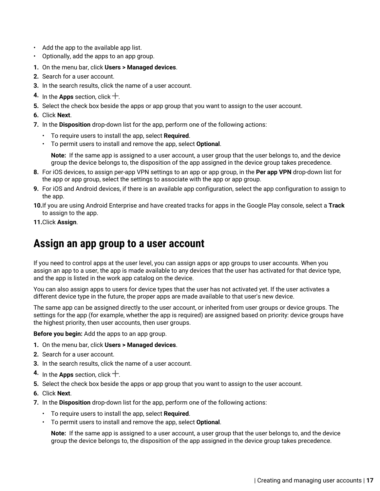- Add the app to the available app list.
- Optionally, add the apps to an app group.
- **1.** On the menu bar, click **Users > Managed devices**.
- **2.** Search for a user account.
- **3.** In the search results, click the name of a user account.
- **4.** In the **Apps** section, click  $+$ .
- **5.** Select the check box beside the apps or app group that you want to assign to the user account.
- **6.** Click **Next**.
- **7.** In the **Disposition** drop-down list for the app, perform one of the following actions:
	- To require users to install the app, select **Required**.
	- To permit users to install and remove the app, select **Optional**.

**Note:** If the same app is assigned to a user account, a user group that the user belongs to, and the device group the device belongs to, the disposition of the app assigned in the device group takes precedence.

- **8.** For iOS devices, to assign per-app VPN settings to an app or app group, in the **Per app VPN** drop-down list for the app or app group, select the settings to associate with the app or app group.
- **9.** For iOS and Android devices, if there is an available app configuration, select the app configuration to assign to the app.
- **10.**If you are using Android Enterprise and have created tracks for apps in the Google Play console, select a **Track** to assign to the app.
- **11.**Click **Assign**.

### <span id="page-16-0"></span>**Assign an app group to a user account**

If you need to control apps at the user level, you can assign apps or app groups to user accounts. When you assign an app to a user, the app is made available to any devices that the user has activated for that device type, and the app is listed in the work app catalog on the device.

You can also assign apps to users for device types that the user has not activated yet. If the user activates a different device type in the future, the proper apps are made available to that user's new device.

The same app can be assigned directly to the user account, or inherited from user groups or device groups. The settings for the app (for example, whether the app is required) are assigned based on priority: device groups have the highest priority, then user accounts, then user groups.

**Before you begin:** Add the apps to an app group.

- **1.** On the menu bar, click **Users > Managed devices**.
- **2.** Search for a user account.
- **3.** In the search results, click the name of a user account.
- **4.** In the **Apps** section, click  $+$ .
- **5.** Select the check box beside the apps or app group that you want to assign to the user account.
- **6.** Click **Next**.
- **7.** In the **Disposition** drop-down list for the app, perform one of the following actions:
	- To require users to install the app, select **Required**.
	- To permit users to install and remove the app, select **Optional**.

**Note:** If the same app is assigned to a user account, a user group that the user belongs to, and the device group the device belongs to, the disposition of the app assigned in the device group takes precedence.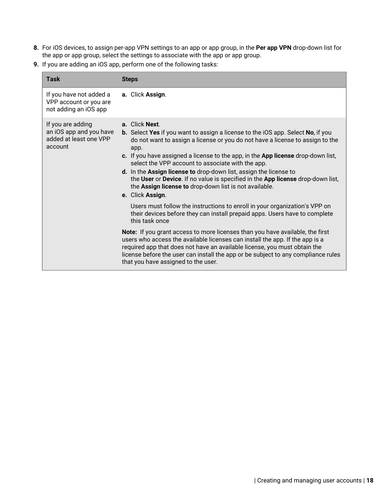- **8.** For iOS devices, to assign per-app VPN settings to an app or app group, in the **Per app VPN** drop-down list for the app or app group, select the settings to associate with the app or app group.
- **9.** If you are adding an iOS app, perform one of the following tasks:

| If you have not added a<br>a. Click Assign.<br>VPP account or you are<br>not adding an iOS app<br>If you are adding<br>a. Click Next.<br>an iOS app and you have<br>added at least one VPP<br>account<br>app.                                                                                                                                                                                                              | <b>Task</b> | <b>Steps</b>                                                                                                                                                                                                                                                                                                                                                                                                                                                                                                                                                                                                                                                                     |  |
|----------------------------------------------------------------------------------------------------------------------------------------------------------------------------------------------------------------------------------------------------------------------------------------------------------------------------------------------------------------------------------------------------------------------------|-------------|----------------------------------------------------------------------------------------------------------------------------------------------------------------------------------------------------------------------------------------------------------------------------------------------------------------------------------------------------------------------------------------------------------------------------------------------------------------------------------------------------------------------------------------------------------------------------------------------------------------------------------------------------------------------------------|--|
|                                                                                                                                                                                                                                                                                                                                                                                                                            |             |                                                                                                                                                                                                                                                                                                                                                                                                                                                                                                                                                                                                                                                                                  |  |
| select the VPP account to associate with the app.<br>d. In the Assign license to drop-down list, assign the license to<br>the Assign license to drop-down list is not available.<br>e. Click Assign.<br>this task once<br>users who access the available licenses can install the app. If the app is a<br>required app that does not have an available license, you must obtain the<br>that you have assigned to the user. |             | <b>b.</b> Select Yes if you want to assign a license to the iOS app. Select No, if you<br>do not want to assign a license or you do not have a license to assign to the<br>c. If you have assigned a license to the app, in the App license drop-down list,<br>the User or Device. If no value is specified in the App license drop-down list,<br>Users must follow the instructions to enroll in your organization's VPP on<br>their devices before they can install prepaid apps. Users have to complete<br>Note: If you grant access to more licenses than you have available, the first<br>license before the user can install the app or be subject to any compliance rules |  |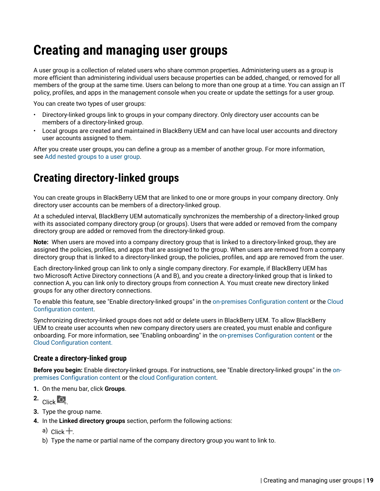# <span id="page-18-0"></span>**Creating and managing user groups**

A user group is a collection of related users who share common properties. Administering users as a group is more efficient than administering individual users because properties can be added, changed, or removed for all members of the group at the same time. Users can belong to more than one group at a time. You can assign an IT policy, profiles, and apps in the management console when you create or update the settings for a user group.

You can create two types of user groups:

- Directory-linked groups link to groups in your company directory. Only directory user accounts can be members of a directory-linked group.
- Local groups are created and maintained in BlackBerry UEM and can have local user accounts and directory user accounts assigned to them.

After you create user groups, you can define a group as a member of another group. For more information, see [Add nested groups to a user group](#page-21-2).

# <span id="page-18-1"></span>**Creating directory-linked groups**

You can create groups in BlackBerry UEM that are linked to one or more groups in your company directory. Only directory user accounts can be members of a directory-linked group.

At a scheduled interval, BlackBerry UEM automatically synchronizes the membership of a directory-linked group with its associated company directory group (or groups). Users that were added or removed from the company directory group are added or removed from the directory-linked group.

**Note:** When users are moved into a company directory group that is linked to a directory-linked group, they are assigned the policies, profiles, and apps that are assigned to the group. When users are removed from a company directory group that is linked to a directory-linked group, the policies, profiles, and app are removed from the user.

Each directory-linked group can link to only a single company directory. For example, if BlackBerry UEM has two Microsoft Active Directory connections (A and B), and you create a directory-linked group that is linked to connection A, you can link only to directory groups from connection A. You must create new directory linked groups for any other directory connections.

To enable this feature, see "Enable directory-linked groups" in the [on-premises Configuration content](https://docs.blackberry.com/en/endpoint-management/blackberry-uem/12_14/installation-configuration/configuration/car1421424562148/mij1402324092809.html) or the [Cloud](https://docs.blackberry.com/en/endpoint-management/blackberry-uem/current/installation-configuration/cloud-configuration/mij1402073838090/mij1402324092809) [Configuration content.](https://docs.blackberry.com/en/endpoint-management/blackberry-uem/current/installation-configuration/cloud-configuration/mij1402073838090/mij1402324092809)

Synchronizing directory-linked groups does not add or delete users in BlackBerry UEM. To allow BlackBerry UEM to create user accounts when new company directory users are created, you must enable and configure onboarding. For more information, see "Enabling onboarding" in the [on-premises Configuration content](https://docs.blackberry.com/en/endpoint-management/blackberry-uem/12_14/installation-configuration/configuration/car1421424562148/hcg1481215409858.html) or the [Cloud Configuration content.](https://docs.blackberry.com/en/endpoint-management/blackberry-uem/current/installation-configuration/cloud-configuration/mij1402073838090/hcg1481215409858)

### <span id="page-18-2"></span>**Create a directory-linked group**

**Before you begin:** Enable directory-linked groups. For instructions, see "Enable directory-linked groups" in the [on](https://docs.blackberry.com/en/endpoint-management/blackberry-uem/12_14/installation-configuration/configuration/car1421424562148/mij1402324092809.html)[premises Configuration content](https://docs.blackberry.com/en/endpoint-management/blackberry-uem/12_14/installation-configuration/configuration/car1421424562148/mij1402324092809.html) or the [cloud Configuration content](https://docs.blackberry.com/en/endpoint-management/blackberry-uem/current/installation-configuration/cloud-configuration/mij1402073838090/mij1402324092809).

**1.** On the menu bar, click **Groups**.

$$
2. \quad \text{Click} \quad \textcircled{\tiny{+}}
$$

- **3.** Type the group name.
- **4.** In the **Linked directory groups** section, perform the following actions:
	- a) Click  $+$ .
	- b) Type the name or partial name of the company directory group you want to link to.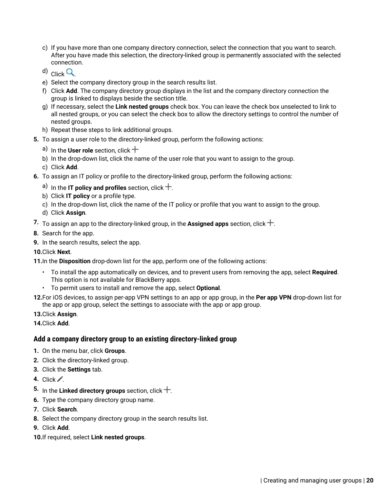- c) If you have more than one company directory connection, select the connection that you want to search. After you have made this selection, the directory-linked group is permanently associated with the selected connection.
- d) Click  $\bf{Q}$
- e) Select the company directory group in the search results list.
- f) Click **Add**. The company directory group displays in the list and the company directory connection the group is linked to displays beside the section title.
- g) If necessary, select the **Link nested groups** check box. You can leave the check box unselected to link to all nested groups, or you can select the check box to allow the directory settings to control the number of nested groups.
- h) Repeat these steps to link additional groups.
- **5.** To assign a user role to the directory-linked group, perform the following actions:
	- a) In the **User role** section, click  $+$
	- b) In the drop-down list, click the name of the user role that you want to assign to the group.
	- c) Click **Add**.
- **6.** To assign an IT policy or profile to the directory-linked group, perform the following actions:
	- a) In the **IT policy and profiles** section, click  $+$ .
	- b) Click **IT policy** or a profile type.
	- c) In the drop-down list, click the name of the IT policy or profile that you want to assign to the group.
	- d) Click **Assign**.
- **7.** To assign an app to the directory-linked group, in the **Assigned apps** section, click  $+$ .
- **8.** Search for the app.
- **9.** In the search results, select the app.

#### **10.**Click **Next**.

**11.**In the **Disposition** drop-down list for the app, perform one of the following actions:

- To install the app automatically on devices, and to prevent users from removing the app, select **Required**. This option is not available for BlackBerry apps.
- To permit users to install and remove the app, select **Optional**.

**12.**For iOS devices, to assign per-app VPN settings to an app or app group, in the **Per app VPN** drop-down list for the app or app group, select the settings to associate with the app or app group.

**13.**Click **Assign**.

**14.**Click **Add**.

### <span id="page-19-0"></span>**Add a company directory group to an existing directory-linked group**

- **1.** On the menu bar, click **Groups**.
- **2.** Click the directory-linked group.
- **3.** Click the **Settings** tab.
- **4.** Click **∕**.
- **5.** In the Linked directory groups section, click  $+$ .
- **6.** Type the company directory group name.
- **7.** Click **Search**.
- **8.** Select the company directory group in the search results list.
- **9.** Click **Add**.
- **10.**If required, select **Link nested groups**.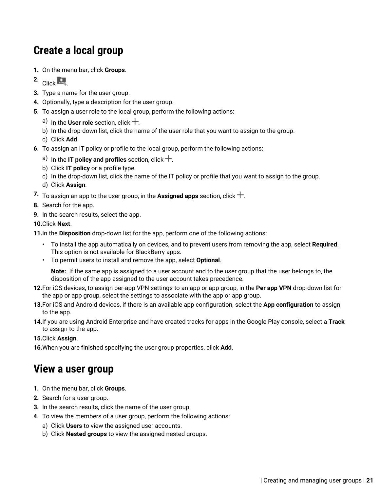# <span id="page-20-0"></span>**Create a local group**

- **1.** On the menu bar, click **Groups**.
- 2.  $Click$   $\mathbb{R}$
- **3.** Type a name for the user group.
- **4.** Optionally, type a description for the user group.
- **5.** To assign a user role to the local group, perform the following actions:
	- a) In the **User role** section, click  $+$ .
	- b) In the drop-down list, click the name of the user role that you want to assign to the group.
	- c) Click **Add**.
- **6.** To assign an IT policy or profile to the local group, perform the following actions:
	- a) In the **IT policy and profiles** section, click  $+$ .
	- b) Click **IT policy** or a profile type.
	- c) In the drop-down list, click the name of the IT policy or profile that you want to assign to the group.
	- d) Click **Assign**.
- **7.** To assign an app to the user group, in the **Assigned apps** section, click  $+$ .
- **8.** Search for the app.
- **9.** In the search results, select the app.

#### **10.**Click **Next**.

**11.**In the **Disposition** drop-down list for the app, perform one of the following actions:

- To install the app automatically on devices, and to prevent users from removing the app, select **Required**. This option is not available for BlackBerry apps.
- To permit users to install and remove the app, select **Optional**.

**Note:** If the same app is assigned to a user account and to the user group that the user belongs to, the disposition of the app assigned to the user account takes precedence.

- **12.**For iOS devices, to assign per-app VPN settings to an app or app group, in the **Per app VPN** drop-down list for the app or app group, select the settings to associate with the app or app group.
- **13.**For iOS and Android devices, if there is an available app configuration, select the **App configuration** to assign to the app.
- **14.**If you are using Android Enterprise and have created tracks for apps in the Google Play console, select a **Track** to assign to the app.
- **15.**Click **Assign**.
- **16.**When you are finished specifying the user group properties, click **Add**.

# <span id="page-20-1"></span>**View a user group**

- **1.** On the menu bar, click **Groups**.
- **2.** Search for a user group.
- **3.** In the search results, click the name of the user group.
- **4.** To view the members of a user group, perform the following actions:
	- a) Click **Users** to view the assigned user accounts.
	- b) Click **Nested groups** to view the assigned nested groups.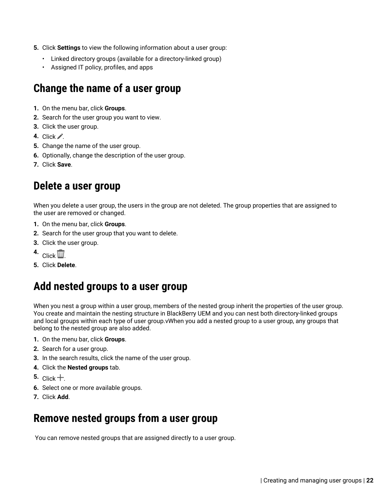- **5.** Click **Settings** to view the following information about a user group:
	- Linked directory groups (available for a directory-linked group)
	- Assigned IT policy, profiles, and apps

# <span id="page-21-0"></span>**Change the name of a user group**

- **1.** On the menu bar, click **Groups**.
- **2.** Search for the user group you want to view.
- **3.** Click the user group.
- **4.** Click **∕**.
- **5.** Change the name of the user group.
- **6.** Optionally, change the description of the user group.
- **7.** Click **Save**.

### <span id="page-21-1"></span>**Delete a user group**

When you delete a user group, the users in the group are not deleted. The group properties that are assigned to the user are removed or changed.

- **1.** On the menu bar, click **Groups**.
- **2.** Search for the user group that you want to delete.
- **3.** Click the user group.
- $4.$  Click  $\overline{11}$ .
- **5.** Click **Delete**.

# <span id="page-21-2"></span>**Add nested groups to a user group**

When you nest a group within a user group, members of the nested group inherit the properties of the user group. You create and maintain the nesting structure in BlackBerry UEM and you can nest both directory-linked groups and local groups within each type of user group.vWhen you add a nested group to a user group, any groups that belong to the nested group are also added.

- **1.** On the menu bar, click **Groups**.
- **2.** Search for a user group.
- **3.** In the search results, click the name of the user group.
- **4.** Click the **Nested groups** tab.
- 5. Click  $+$ .
- **6.** Select one or more available groups.
- **7.** Click **Add**.

## <span id="page-21-3"></span>**Remove nested groups from a user group**

You can remove nested groups that are assigned directly to a user group.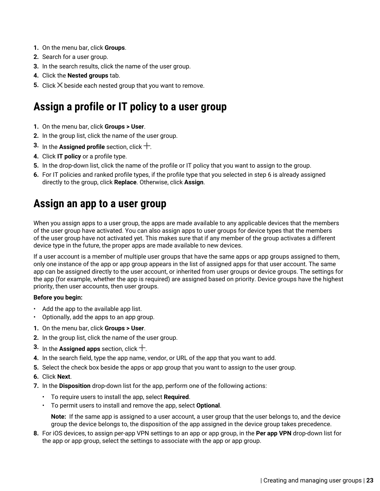- **1.** On the menu bar, click **Groups**.
- **2.** Search for a user group.
- **3.** In the search results, click the name of the user group.
- **4.** Click the **Nested groups** tab.
- **5.** Click  $\times$  beside each nested group that you want to remove.

# <span id="page-22-0"></span>**Assign a profile or IT policy to a user group**

- **1.** On the menu bar, click **Groups > User**.
- **2.** In the group list, click the name of the user group.
- **3.** In the **Assigned profile** section, click  $+$ .
- **4.** Click **IT policy** or a profile type.
- **5.** In the drop-down list, click the name of the profile or IT policy that you want to assign to the group.
- **6.** For IT policies and ranked profile types, if the profile type that you selected in step 6 is already assigned directly to the group, click **Replace**. Otherwise, click **Assign**.

## <span id="page-22-1"></span>**Assign an app to a user group**

When you assign apps to a user group, the apps are made available to any applicable devices that the members of the user group have activated. You can also assign apps to user groups for device types that the members of the user group have not activated yet. This makes sure that if any member of the group activates a different device type in the future, the proper apps are made available to new devices.

If a user account is a member of multiple user groups that have the same apps or app groups assigned to them, only one instance of the app or app group appears in the list of assigned apps for that user account. The same app can be assigned directly to the user account, or inherited from user groups or device groups. The settings for the app (for example, whether the app is required) are assigned based on priority. Device groups have the highest priority, then user accounts, then user groups.

#### **Before you begin:**

- Add the app to the available app list.
- Optionally, add the apps to an app group.
- **1.** On the menu bar, click **Groups > User**.
- **2.** In the group list, click the name of the user group.
- **3.** In the **Assigned apps** section, click  $+$ .
- **4.** In the search field, type the app name, vendor, or URL of the app that you want to add.
- **5.** Select the check box beside the apps or app group that you want to assign to the user group.
- **6.** Click **Next**.
- **7.** In the **Disposition** drop-down list for the app, perform one of the following actions:
	- To require users to install the app, select **Required**.
	- To permit users to install and remove the app, select **Optional**.

**Note:** If the same app is assigned to a user account, a user group that the user belongs to, and the device group the device belongs to, the disposition of the app assigned in the device group takes precedence.

**8.** For iOS devices, to assign per-app VPN settings to an app or app group, in the **Per app VPN** drop-down list for the app or app group, select the settings to associate with the app or app group.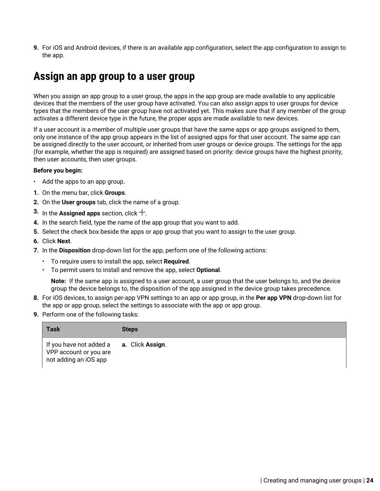**9.** For iOS and Android devices, if there is an available app configuration, select the app configuration to assign to the app.

### <span id="page-23-0"></span>**Assign an app group to a user group**

When you assign an app group to a user group, the apps in the app group are made available to any applicable devices that the members of the user group have activated. You can also assign apps to user groups for device types that the members of the user group have not activated yet. This makes sure that if any member of the group activates a different device type in the future, the proper apps are made available to new devices.

If a user account is a member of multiple user groups that have the same apps or app groups assigned to them, only one instance of the app group appears in the list of assigned apps for that user account. The same app can be assigned directly to the user account, or inherited from user groups or device groups. The settings for the app (for example, whether the app is required) are assigned based on priority: device groups have the highest priority, then user accounts, then user groups.

#### **Before you begin:**

- Add the apps to an app group.
- **1.** On the menu bar, click **Groups**.
- **2.** On the **User groups** tab, click the name of a group.
- **3.** In the **Assigned apps** section, click  $+$ .
- **4.** In the search field, type the name of the app group that you want to add.
- **5.** Select the check box beside the apps or app group that you want to assign to the user group.
- **6.** Click **Next**.
- **7.** In the **Disposition** drop-down list for the app, perform one of the following actions:
	- To require users to install the app, select **Required**.
	- To permit users to install and remove the app, select **Optional**.

**Note:** If the same app is assigned to a user account, a user group that the user belongs to, and the device group the device belongs to, the disposition of the app assigned in the device group takes precedence.

- **8.** For iOS devices, to assign per-app VPN settings to an app or app group, in the **Per app VPN** drop-down list for the app or app group, select the settings to associate with the app or app group.
- **9.** Perform one of the following tasks:

| <b>Task</b>                                                                | <b>Steps</b>     |
|----------------------------------------------------------------------------|------------------|
| If you have not added a<br>VPP account or you are<br>not adding an iOS app | a. Click Assign. |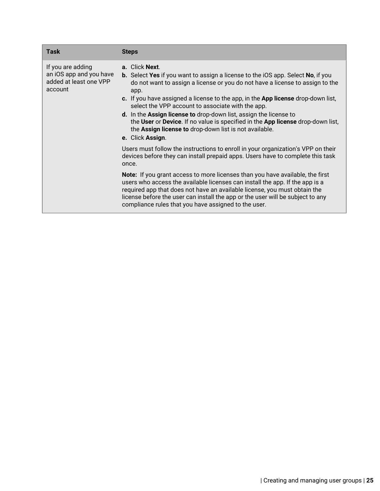| <b>Task</b>                                                                       | <b>Steps</b>                                                                                                                                                                                                                                                                                                                                                                                                                                                                                                                                                                     |  |
|-----------------------------------------------------------------------------------|----------------------------------------------------------------------------------------------------------------------------------------------------------------------------------------------------------------------------------------------------------------------------------------------------------------------------------------------------------------------------------------------------------------------------------------------------------------------------------------------------------------------------------------------------------------------------------|--|
| If you are adding<br>an iOS app and you have<br>added at least one VPP<br>account | a. Click Next.<br><b>b.</b> Select Yes if you want to assign a license to the iOS app. Select No, if you<br>do not want to assign a license or you do not have a license to assign to the<br>app.<br>c. If you have assigned a license to the app, in the App license drop-down list,<br>select the VPP account to associate with the app.<br>d. In the Assign license to drop-down list, assign the license to<br>the User or Device. If no value is specified in the App license drop-down list,<br>the Assign license to drop-down list is not available.<br>e. Click Assign. |  |
|                                                                                   | Users must follow the instructions to enroll in your organization's VPP on their<br>devices before they can install prepaid apps. Users have to complete this task<br>once.                                                                                                                                                                                                                                                                                                                                                                                                      |  |
|                                                                                   | <b>Note:</b> If you grant access to more licenses than you have available, the first<br>users who access the available licenses can install the app. If the app is a<br>required app that does not have an available license, you must obtain the<br>license before the user can install the app or the user will be subject to any<br>compliance rules that you have assigned to the user.                                                                                                                                                                                      |  |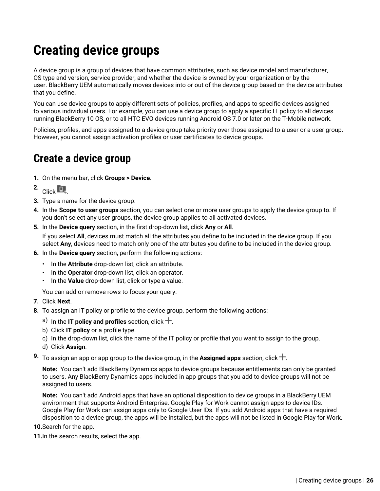# <span id="page-25-0"></span>**Creating device groups**

A device group is a group of devices that have common attributes, such as device model and manufacturer, OS type and version, service provider, and whether the device is owned by your organization or by the user. BlackBerry UEM automatically moves devices into or out of the device group based on the device attributes that you define.

You can use device groups to apply different sets of policies, profiles, and apps to specific devices assigned to various individual users. For example, you can use a device group to apply a specific IT policy to all devices running BlackBerry 10 OS, or to all HTC EVO devices running Android OS 7.0 or later on the T-Mobile network.

Policies, profiles, and apps assigned to a device group take priority over those assigned to a user or a user group. However, you cannot assign activation profiles or user certificates to device groups.

## <span id="page-25-1"></span>**Create a device group**

- **1.** On the menu bar, click **Groups > Device**.
- 2.  $Click$   $\blacksquare$
- **3.** Type a name for the device group.
- **4.** In the **Scope to user groups** section, you can select one or more user groups to apply the device group to. If you don't select any user groups, the device group applies to all activated devices.
- **5.** In the **Device query** section, in the first drop-down list, click **Any** or **All**.

If you select **All**, devices must match all the attributes you define to be included in the device group. If you select **Any**, devices need to match only one of the attributes you define to be included in the device group.

- **6.** In the **Device query** section, perform the following actions:
	- In the **Attribute** drop-down list, click an attribute.
	- In the **Operator** drop-down list, click an operator.
	- In the **Value** drop-down list, click or type a value.

You can add or remove rows to focus your query.

- **7.** Click **Next**.
- **8.** To assign an IT policy or profile to the device group, perform the following actions:
	- a) In the **IT policy and profiles** section, click  $+$ .
	- b) Click **IT policy** or a profile type.
	- c) In the drop-down list, click the name of the IT policy or profile that you want to assign to the group.
	- d) Click **Assign**.
- **9.** To assign an app or app group to the device group, in the **Assigned apps** section, click  $+$ .

**Note:** You can't add BlackBerry Dynamics apps to device groups because entitlements can only be granted to users. Any BlackBerry Dynamics apps included in app groups that you add to device groups will not be assigned to users.

**Note:** You can't add Android apps that have an optional disposition to device groups in a BlackBerry UEM environment that supports Android Enterprise. Google Play for Work cannot assign apps to device IDs. Google Play for Work can assign apps only to Google User IDs. If you add Android apps that have a required disposition to a device group, the apps will be installed, but the apps will not be listed in Google Play for Work.

**10.**Search for the app.

**11.**In the search results, select the app.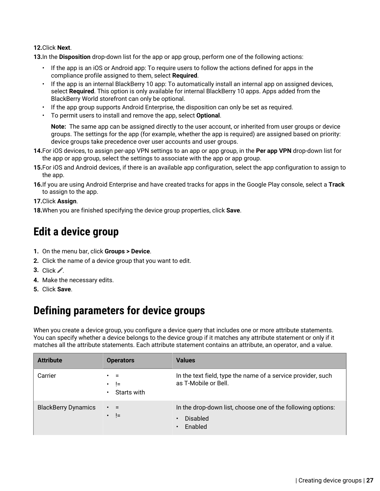#### **12.**Click **Next**.

**13.**In the **Disposition** drop-down list for the app or app group, perform one of the following actions:

- If the app is an iOS or Android app: To require users to follow the actions defined for apps in the compliance profile assigned to them, select **Required**.
- If the app is an internal BlackBerry 10 app: To automatically install an internal app on assigned devices, select **Required**. This option is only available for internal BlackBerry 10 apps. Apps added from the BlackBerry World storefront can only be optional.
- If the app group supports Android Enterprise, the disposition can only be set as required.
- To permit users to install and remove the app, select **Optional**.

**Note:** The same app can be assigned directly to the user account, or inherited from user groups or device groups. The settings for the app (for example, whether the app is required) are assigned based on priority: device groups take precedence over user accounts and user groups.

- **14.**For iOS devices, to assign per-app VPN settings to an app or app group, in the **Per app VPN** drop-down list for the app or app group, select the settings to associate with the app or app group.
- **15.**For iOS and Android devices, if there is an available app configuration, select the app configuration to assign to the app.
- **16.**If you are using Android Enterprise and have created tracks for apps in the Google Play console, select a **Track** to assign to the app.

**17.**Click **Assign**.

**18.**When you are finished specifying the device group properties, click **Save**.

# <span id="page-26-0"></span>**Edit a device group**

- **1.** On the menu bar, click **Groups > Device**.
- **2.** Click the name of a device group that you want to edit.
- **3.** Click **∕**.
- **4.** Make the necessary edits.
- **5.** Click **Save**.

## <span id="page-26-1"></span>**Defining parameters for device groups**

When you create a device group, you configure a device query that includes one or more attribute statements. You can specify whether a device belongs to the device group if it matches any attribute statement or only if it matches all the attribute statements. Each attribute statement contains an attribute, an operator, and a value.

| <b>Attribute</b>           | <b>Operators</b>                       | <b>Values</b>                                                                                                |
|----------------------------|----------------------------------------|--------------------------------------------------------------------------------------------------------------|
| Carrier                    | $\equiv$<br>$l =$<br>Starts with       | In the text field, type the name of a service provider, such<br>as T-Mobile or Bell.                         |
| <b>BlackBerry Dynamics</b> | $\bullet$ =<br>$\cdot$ $\cdot$ $\cdot$ | In the drop-down list, choose one of the following options:<br>Disabled<br>$\bullet$<br>Enabled<br>$\bullet$ |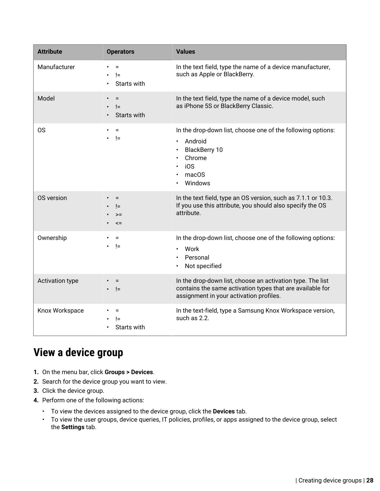| <b>Attribute</b>       | <b>Operators</b>           | <b>Values</b>                                                                                                                                                      |
|------------------------|----------------------------|--------------------------------------------------------------------------------------------------------------------------------------------------------------------|
| Manufacturer           | $=$<br>$!=$<br>Starts with | In the text field, type the name of a device manufacturer,<br>such as Apple or BlackBerry.                                                                         |
| Model                  | Ξ<br>$!=$<br>Starts with   | In the text field, type the name of a device model, such<br>as iPhone 5S or BlackBerry Classic.                                                                    |
| <b>OS</b>              | $=$<br>$!=$                | In the drop-down list, choose one of the following options:<br>Android<br>$\bullet$<br>BlackBerry 10<br>Chrome<br>iOS<br>mac <sub>OS</sub><br>Windows              |
| OS version             | Ξ<br>!=<br>$>=$<br>$\leq$  | In the text field, type an OS version, such as 7.1.1 or 10.3.<br>If you use this attribute, you should also specify the OS<br>attribute.                           |
| Ownership              | $=$<br>$!=$                | In the drop-down list, choose one of the following options:<br>Work<br>Personal<br>Not specified                                                                   |
| <b>Activation type</b> | Ξ<br>$!=$                  | In the drop-down list, choose an activation type. The list<br>contains the same activation types that are available for<br>assignment in your activation profiles. |
| Knox Workspace         | Ξ.<br>$!=$<br>Starts with  | In the text-field, type a Samsung Knox Workspace version,<br>such as 2.2.                                                                                          |

# <span id="page-27-0"></span>**View a device group**

- **1.** On the menu bar, click **Groups > Devices**.
- **2.** Search for the device group you want to view.
- **3.** Click the device group.
- **4.** Perform one of the following actions:
	- To view the devices assigned to the device group, click the **Devices** tab.
	- To view the user groups, device queries, IT policies, profiles, or apps assigned to the device group, select the **Settings** tab.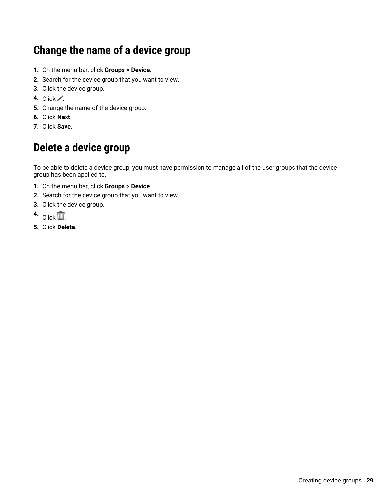# <span id="page-28-0"></span>**Change the name of a device group**

- **1.** On the menu bar, click **Groups > Device**.
- **2.** Search for the device group that you want to view.
- **3.** Click the device group.
- **4.** Click **∕**.
- **5.** Change the name of the device group.
- **6.** Click **Next**.
- **7.** Click **Save**.

# <span id="page-28-1"></span>**Delete a device group**

To be able to delete a device group, you must have permission to manage all of the user groups that the device group has been applied to.

- **1.** On the menu bar, click **Groups > Device**.
- **2.** Search for the device group that you want to view.
- **3.** Click the device group.
- $4.$  Click  $\overline{11}$ .
- **5.** Click **Delete**.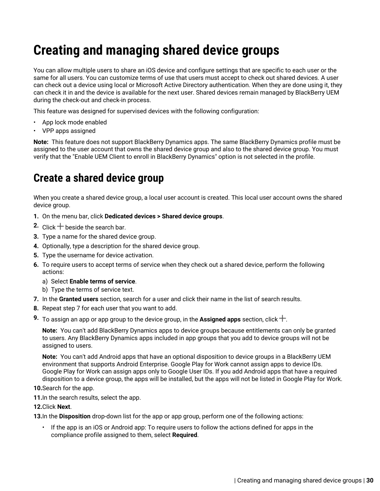# <span id="page-29-0"></span>**Creating and managing shared device groups**

You can allow multiple users to share an iOS device and configure settings that are specific to each user or the same for all users. You can customize terms of use that users must accept to check out shared devices. A user can check out a device using local or Microsoft Active Directory authentication. When they are done using it, they can check it in and the device is available for the next user. Shared devices remain managed by BlackBerry UEM during the check-out and check-in process.

This feature was designed for supervised devices with the following configuration:

- App lock mode enabled
- VPP apps assigned

**Note:** This feature does not support BlackBerry Dynamics apps. The same BlackBerry Dynamics profile must be assigned to the user account that owns the shared device group and also to the shared device group. You must verify that the "Enable UEM Client to enroll in BlackBerry Dynamics" option is not selected in the profile.

## <span id="page-29-1"></span>**Create a shared device group**

When you create a shared device group, a local user account is created. This local user account owns the shared device group.

- **1.** On the menu bar, click **Dedicated devices > Shared device groups**.
- **2.** Click  $+$  beside the search bar.
- **3.** Type a name for the shared device group.
- **4.** Optionally, type a description for the shared device group.
- **5.** Type the username for device activation.
- **6.** To require users to accept terms of service when they check out a shared device, perform the following actions:
	- a) Select **Enable terms of service**.
	- b) Type the terms of service text.
- **7.** In the **Granted users** section, search for a user and click their name in the list of search results.
- **8.** Repeat step 7 for each user that you want to add.
- **9.** To assign an app or app group to the device group, in the **Assigned apps** section, click  $+$ .

**Note:** You can't add BlackBerry Dynamics apps to device groups because entitlements can only be granted to users. Any BlackBerry Dynamics apps included in app groups that you add to device groups will not be assigned to users.

**Note:** You can't add Android apps that have an optional disposition to device groups in a BlackBerry UEM environment that supports Android Enterprise. Google Play for Work cannot assign apps to device IDs. Google Play for Work can assign apps only to Google User IDs. If you add Android apps that have a required disposition to a device group, the apps will be installed, but the apps will not be listed in Google Play for Work.

#### **10.**Search for the app.

**11.**In the search results, select the app.

**12.**Click **Next**.

**13.**In the **Disposition** drop-down list for the app or app group, perform one of the following actions:

• If the app is an iOS or Android app: To require users to follow the actions defined for apps in the compliance profile assigned to them, select **Required**.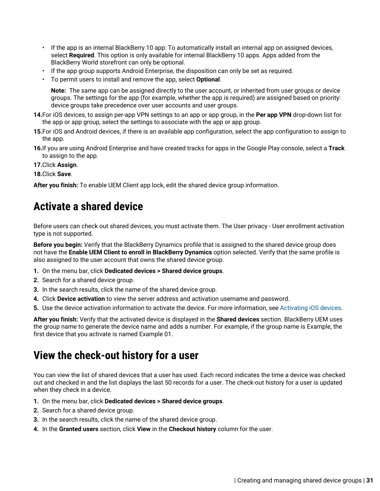- If the app is an internal BlackBerry 10 app: To automatically install an internal app on assigned devices, select **Required**. This option is only available for internal BlackBerry 10 apps. Apps added from the BlackBerry World storefront can only be optional.
- If the app group supports Android Enterprise, the disposition can only be set as required.
- To permit users to install and remove the app, select **Optional**.

**Note:** The same app can be assigned directly to the user account, or inherited from user groups or device groups. The settings for the app (for example, whether the app is required) are assigned based on priority: device groups take precedence over user accounts and user groups.

- **14.**For iOS devices, to assign per-app VPN settings to an app or app group, in the **Per app VPN** drop-down list for the app or app group, select the settings to associate with the app or app group.
- **15.**For iOS and Android devices, if there is an available app configuration, select the app configuration to assign to the app.
- **16.**If you are using Android Enterprise and have created tracks for apps in the Google Play console, select a **Track** to assign to the app.

**17.**Click **Assign**.

**18.**Click **Save**.

**After you finish:** To enable UEM Client app lock, edit the shared device group information.

# <span id="page-30-0"></span>**Activate a shared device**

Before users can check out shared devices, you must activate them. The User privacy - User enrollment activation type is not supported.

**Before you begin:** Verify that the BlackBerry Dynamics profile that is assigned to the shared device group does not have the **Enable UEM Client to enroll in BlackBerry Dynamics** option selected. Verify that the same profile is also assigned to the user account that owns the shared device group.

- **1.** On the menu bar, click **Dedicated devices > Shared device groups**.
- **2.** Search for a shared device group.
- **3.** In the search results, click the name of the shared device group.
- **4.** Click **Device activation** to view the server address and activation username and password.
- **5.** Use the device activation information to activate the device. For more information, see [Activating iOS devices](https://docs.blackberry.com/en/endpoint-management/blackberry-uem/12_12/administration/device-activation/activation-steps/Activating-iOS-devices.html).

**After you finish:** Verify that the activated device is displayed in the **Shared devices** section. BlackBerry UEM uses the group name to generate the device name and adds a number. For example, if the group name is Example, the first device that you activate is named Example 01.

## <span id="page-30-1"></span>**View the check-out history for a user**

You can view the list of shared devices that a user has used. Each record indicates the time a device was checked out and checked in and the list displays the last 50 records for a user. The check-out history for a user is updated when they check in a device.

- **1.** On the menu bar, click **Dedicated devices > Shared device groups**.
- **2.** Search for a shared device group.
- **3.** In the search results, click the name of the shared device group.
- **4.** In the **Granted users** section, click **View** in the **Checkout history** column for the user.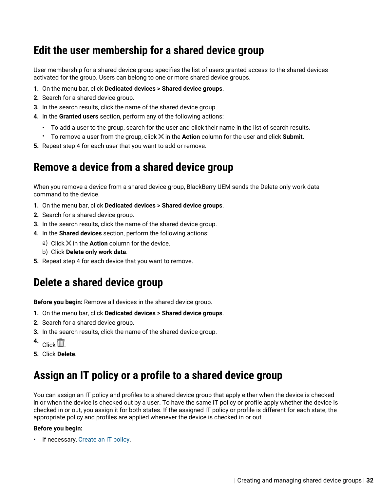# <span id="page-31-0"></span>**Edit the user membership for a shared device group**

User membership for a shared device group specifies the list of users granted access to the shared devices activated for the group. Users can belong to one or more shared device groups.

- **1.** On the menu bar, click **Dedicated devices > Shared device groups**.
- **2.** Search for a shared device group.
- **3.** In the search results, click the name of the shared device group.
- **4.** In the **Granted users** section, perform any of the following actions:
	- To add a user to the group, search for the user and click their name in the list of search results.
	- To remove a user from the group, click in the **Action** column for the user and click **Submit**.
- **5.** Repeat step 4 for each user that you want to add or remove.

### <span id="page-31-1"></span>**Remove a device from a shared device group**

When you remove a device from a shared device group, BlackBerry UEM sends the Delete only work data command to the device.

- **1.** On the menu bar, click **Dedicated devices > Shared device groups**.
- **2.** Search for a shared device group.
- **3.** In the search results, click the name of the shared device group.
- **4.** In the **Shared devices** section, perform the following actions:
	- a) Click  $\times$  in the **Action** column for the device.
	- b) Click **Delete only work data**.
- **5.** Repeat step 4 for each device that you want to remove.

### <span id="page-31-2"></span>**Delete a shared device group**

**Before you begin:** Remove all devices in the shared device group.

- **1.** On the menu bar, click **Dedicated devices > Shared device groups**.
- **2.** Search for a shared device group.
- **3.** In the search results, click the name of the shared device group.
- $4.$  Click  $\overline{\mathbb{I}\mathbb{I}}$
- **5.** Click **Delete**.

## <span id="page-31-3"></span>**Assign an IT policy or a profile to a shared device group**

You can assign an IT policy and profiles to a shared device group that apply either when the device is checked in or when the device is checked out by a user. To have the same IT policy or profile apply whether the device is checked in or out, you assign it for both states. If the assigned IT policy or profile is different for each state, the appropriate policy and profiles are applied whenever the device is checked in or out.

#### **Before you begin:**

• If necessary, [Create an IT policy.](https://docs.blackberry.com/en/endpoint-management/blackberry-uem/12_13/administration/device-features-it-policies/it-policies/ksa1379099492851/ake1371674698100)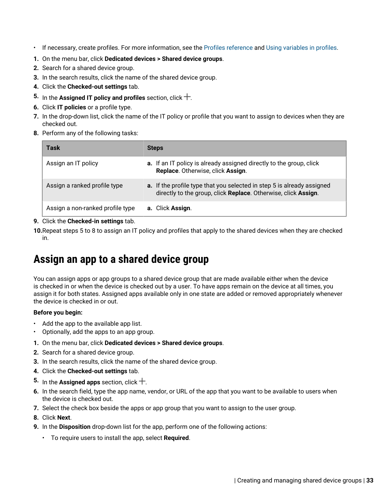- If necessary, create profiles. For more information, see the [Profiles reference](https://docs.blackberry.com/en/endpoint-management/blackberry-uem/12_14/administration/profiles-variables-email-templates/profiles/kja1515173525387.html) and [Using variables in profiles.](https://docs.blackberry.com/en/endpoint-management/blackberry-uem/12_14/administration/profiles-variables-email-templates/variables/jth1375996564518.html)
- **1.** On the menu bar, click **Dedicated devices > Shared device groups**.
- **2.** Search for a shared device group.
- **3.** In the search results, click the name of the shared device group.
- **4.** Click the **Checked-out settings** tab.
- **5.** In the Assigned IT policy and profiles section, click  $+$ .
- **6.** Click **IT policies** or a profile type.
- **7.** In the drop-down list, click the name of the IT policy or profile that you want to assign to devices when they are checked out.
- **8.** Perform any of the following tasks:

| Task                             | <b>Steps</b>                                                                                                                                    |
|----------------------------------|-------------------------------------------------------------------------------------------------------------------------------------------------|
| Assign an IT policy              | <b>a.</b> If an IT policy is already assigned directly to the group, click<br>Replace. Otherwise, click Assign.                                 |
| Assign a ranked profile type     | <b>a.</b> If the profile type that you selected in step 5 is already assigned<br>directly to the group, click Replace. Otherwise, click Assign. |
| Assign a non-ranked profile type | a. Click Assign.                                                                                                                                |

#### **9.** Click the **Checked-in settings** tab.

**10.**Repeat steps 5 to 8 to assign an IT policy and profiles that apply to the shared devices when they are checked in.

## <span id="page-32-0"></span>**Assign an app to a shared device group**

You can assign apps or app groups to a shared device group that are made available either when the device is checked in or when the device is checked out by a user. To have apps remain on the device at all times, you assign it for both states. Assigned apps available only in one state are added or removed appropriately whenever the device is checked in or out.

#### **Before you begin:**

- Add the app to the available app list.
- Optionally, add the apps to an app group.
- **1.** On the menu bar, click **Dedicated devices > Shared device groups**.
- **2.** Search for a shared device group.
- **3.** In the search results, click the name of the shared device group.
- **4.** Click the **Checked-out settings** tab.
- **5.** In the **Assigned apps** section, click  $+$ .
- **6.** In the search field, type the app name, vendor, or URL of the app that you want to be available to users when the device is checked out.
- **7.** Select the check box beside the apps or app group that you want to assign to the user group.
- **8.** Click **Next**.
- **9.** In the **Disposition** drop-down list for the app, perform one of the following actions:
	- To require users to install the app, select **Required**.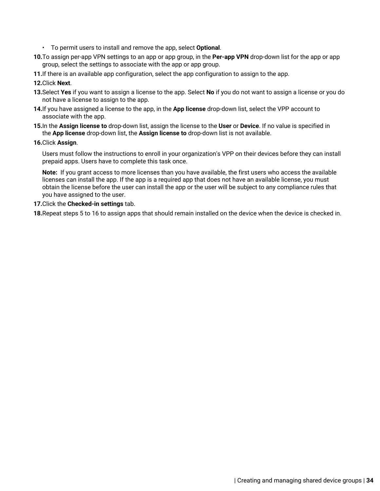- To permit users to install and remove the app, select **Optional**.
- **10.**To assign per-app VPN settings to an app or app group, in the **Per-app VPN** drop-down list for the app or app group, select the settings to associate with the app or app group.
- **11.**If there is an available app configuration, select the app configuration to assign to the app.

#### **12.**Click **Next**.

- **13.**Select **Yes** if you want to assign a license to the app. Select **No** if you do not want to assign a license or you do not have a license to assign to the app.
- **14.**If you have assigned a license to the app, in the **App license** drop-down list, select the VPP account to associate with the app.
- **15.**In the **Assign license to** drop-down list, assign the license to the **User** or **Device**. If no value is specified in the **App license** drop-down list, the **Assign license to** drop-down list is not available.

#### **16.**Click **Assign**.

Users must follow the instructions to enroll in your organization's VPP on their devices before they can install prepaid apps. Users have to complete this task once.

**Note:** If you grant access to more licenses than you have available, the first users who access the available licenses can install the app. If the app is a required app that does not have an available license, you must obtain the license before the user can install the app or the user will be subject to any compliance rules that you have assigned to the user.

#### **17.**Click the **Checked-in settings** tab.

**18.**Repeat steps 5 to 16 to assign apps that should remain installed on the device when the device is checked in.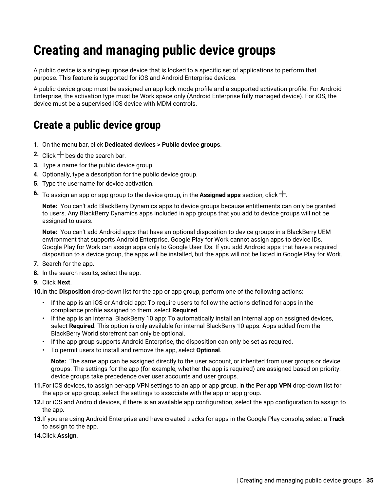# <span id="page-34-0"></span>**Creating and managing public device groups**

A public device is a single-purpose device that is locked to a specific set of applications to perform that purpose. This feature is supported for iOS and Android Enterprise devices.

A public device group must be assigned an app lock mode profile and a supported activation profile. For Android Enterprise, the activation type must be Work space only (Android Enterprise fully managed device). For iOS, the device must be a supervised iOS device with MDM controls.

# <span id="page-34-1"></span>**Create a public device group**

- **1.** On the menu bar, click **Dedicated devices > Public device groups**.
- **2.** Click  $\pm$  beside the search bar.
- **3.** Type a name for the public device group.
- **4.** Optionally, type a description for the public device group.
- **5.** Type the username for device activation.
- **6.** To assign an app or app group to the device group, in the **Assigned apps** section, click  $+$ .

**Note:** You can't add BlackBerry Dynamics apps to device groups because entitlements can only be granted to users. Any BlackBerry Dynamics apps included in app groups that you add to device groups will not be assigned to users.

**Note:** You can't add Android apps that have an optional disposition to device groups in a BlackBerry UEM environment that supports Android Enterprise. Google Play for Work cannot assign apps to device IDs. Google Play for Work can assign apps only to Google User IDs. If you add Android apps that have a required disposition to a device group, the apps will be installed, but the apps will not be listed in Google Play for Work.

- **7.** Search for the app.
- **8.** In the search results, select the app.
- **9.** Click **Next**.

**10.**In the **Disposition** drop-down list for the app or app group, perform one of the following actions:

- If the app is an iOS or Android app: To require users to follow the actions defined for apps in the compliance profile assigned to them, select **Required**.
- If the app is an internal BlackBerry 10 app: To automatically install an internal app on assigned devices, select **Required**. This option is only available for internal BlackBerry 10 apps. Apps added from the BlackBerry World storefront can only be optional.
- If the app group supports Android Enterprise, the disposition can only be set as required.
- To permit users to install and remove the app, select **Optional**.

**Note:** The same app can be assigned directly to the user account, or inherited from user groups or device groups. The settings for the app (for example, whether the app is required) are assigned based on priority: device groups take precedence over user accounts and user groups.

- **11.**For iOS devices, to assign per-app VPN settings to an app or app group, in the **Per app VPN** drop-down list for the app or app group, select the settings to associate with the app or app group.
- **12.**For iOS and Android devices, if there is an available app configuration, select the app configuration to assign to the app.
- **13.**If you are using Android Enterprise and have created tracks for apps in the Google Play console, select a **Track** to assign to the app.
- **14.**Click **Assign**.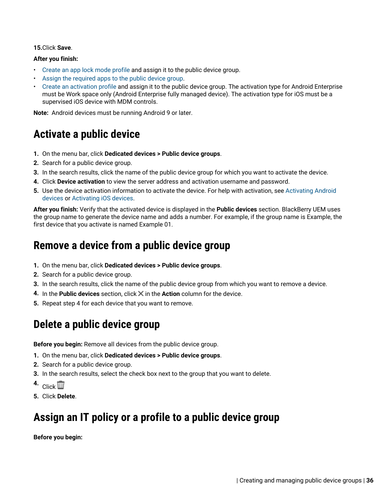#### **15.**Click **Save**.

#### **After you finish:**

- [Create an app lock mode profile](https://docs.blackberry.com/en/endpoint-management/blackberry-uem/12_14/administration/managing-apps/limiting-devices-to-a-single-app/jfe1393947680354) and assign it to the public device group.
- [Assign the required apps to the public device group](#page-36-0).
- [Create an activation profile](https://docs.blackberry.com/en/endpoint-management/blackberry-uem/12_14/administration/device-activation/activation-profile/kla1372082452115) and assign it to the public device group. The activation type for Android Enterprise must be Work space only (Android Enterprise fully managed device). The activation type for iOS must be a supervised iOS device with MDM controls.

**Note:** Android devices must be running Android 9 or later.

# <span id="page-35-0"></span>**Activate a public device**

- **1.** On the menu bar, click **Dedicated devices > Public device groups**.
- **2.** Search for a public device group.
- **3.** In the search results, click the name of the public device group for which you want to activate the device.
- **4.** Click **Device activation** to view the server address and activation username and password.
- **5.** Use the device activation information to activate the device. For help with activation, see [Activating Android](https://docs.blackberry.com/en/endpoint-management/blackberry-uem/12_14/administration/device-activation/activation-steps/plg1472216537235/blk1472218726246) [devices](https://docs.blackberry.com/en/endpoint-management/blackberry-uem/12_14/administration/device-activation/activation-steps/plg1472216537235/blk1472218726246) or [Activating iOS devices.](https://docs.blackberry.com/en/endpoint-management/blackberry-uem/12_14/administration/device-activation/activation-steps/Activating-iOS-devices.html)

**After you finish:** Verify that the activated device is displayed in the **Public devices** section. BlackBerry UEM uses the group name to generate the device name and adds a number. For example, if the group name is Example, the first device that you activate is named Example 01.

# <span id="page-35-1"></span>**Remove a device from a public device group**

- **1.** On the menu bar, click **Dedicated devices > Public device groups**.
- **2.** Search for a public device group.
- **3.** In the search results, click the name of the public device group from which you want to remove a device.
- **4.** In the **Public devices** section, click in the **Action** column for the device.
- **5.** Repeat step 4 for each device that you want to remove.

### <span id="page-35-2"></span>**Delete a public device group**

**Before you begin:** Remove all devices from the public device group.

- **1.** On the menu bar, click **Dedicated devices > Public device groups**.
- **2.** Search for a public device group.
- **3.** In the search results, select the check box next to the group that you want to delete.
- 4. Click **III**
- **5.** Click **Delete**.

# <span id="page-35-3"></span>**Assign an IT policy or a profile to a public device group**

**Before you begin:**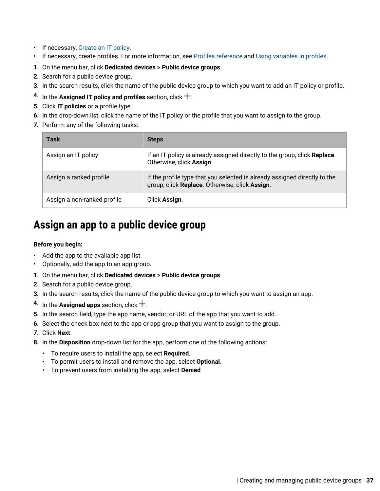- If necessary, [Create an IT policy.](https://docs.blackberry.com/en/endpoint-management/blackberry-uem/12_14/administration/device-features-it-policies/it-policies/ksa1379099492851/ake1371674698100)
- If necessary, create profiles. For more information, see [Profiles reference](https://docs.blackberry.com/en/endpoint-management/blackberry-uem/12_14/administration/profiles-variables-email-templates/profiles/kja1515173525387.html) and [Using variables in profiles](https://docs.blackberry.com/en/endpoint-management/blackberry-uem/12_14/administration/profiles-variables-email-templates/variables/jth1375996564518.html).
- **1.** On the menu bar, click **Dedicated devices > Public device groups**.
- **2.** Search for a public device group.
- **3.** In the search results, click the name of the public device group to which you want to add an IT policy or profile.
- **4.** In the **Assigned IT policy and profiles** section, click  $+$ .
- **5.** Click **IT policies** or a profile type.
- **6.** In the drop-down list, click the name of the IT policy or the profile that you want to assign to the group.
- **7.** Perform any of the following tasks:

| Task                        | <b>Steps</b>                                                                                                                |
|-----------------------------|-----------------------------------------------------------------------------------------------------------------------------|
| Assign an IT policy         | If an IT policy is already assigned directly to the group, click <b>Replace</b> .<br>Otherwise, click Assign.               |
| Assign a ranked profile     | If the profile type that you selected is already assigned directly to the<br>group, click Replace. Otherwise, click Assign. |
| Assign a non-ranked profile | Click Assign.                                                                                                               |

## <span id="page-36-0"></span>**Assign an app to a public device group**

#### **Before you begin:**

- Add the app to the available app list.
- Optionally, add the app to an app group.
- **1.** On the menu bar, click **Dedicated devices > Public device groups**.
- **2.** Search for a public device group.
- **3.** In the search results, click the name of the public device group to which you want to assign an app.
- **4.** In the Assigned apps section, click  $+$ .
- **5.** In the search field, type the app name, vendor, or URL of the app that you want to add.
- **6.** Select the check box next to the app or app group that you want to assign to the group.
- **7.** Click **Next**.
- **8.** In the **Disposition** drop-down list for the app, perform one of the following actions:
	- To require users to install the app, select **Required**.
	- To permit users to install and remove the app, select **Optional**.
	- To prevent users from installing the app, select **Denied**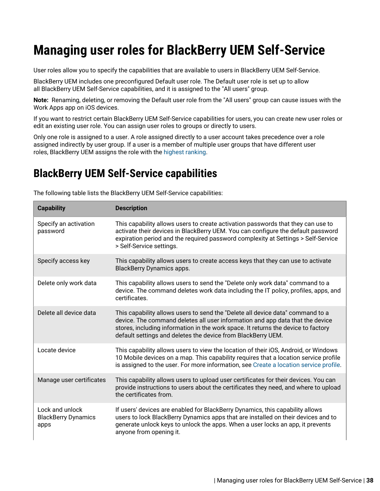# <span id="page-37-0"></span>**Managing user roles for BlackBerry UEM Self-Service**

User roles allow you to specify the capabilities that are available to users in BlackBerry UEM Self-Service.

BlackBerry UEM includes one preconfigured Default user role. The Default user role is set up to allow all BlackBerry UEM Self-Service capabilities, and it is assigned to the "All users" group.

**Note:** Renaming, deleting, or removing the Default user role from the "All users" group can cause issues with the Work Apps app on iOS devices.

If you want to restrict certain BlackBerry UEM Self-Service capabilities for users, you can create new user roles or edit an existing user role. You can assign user roles to groups or directly to users.

Only one role is assigned to a user. A role assigned directly to a user account takes precedence over a role assigned indirectly by user group. If a user is a member of multiple user groups that have different user roles, BlackBerry UEM assigns the role with the [highest ranking](#page-38-1).

# <span id="page-37-1"></span>**BlackBerry UEM Self-Service capabilities**

| <b>Capability</b>                                     | <b>Description</b>                                                                                                                                                                                                                                                                                                   |
|-------------------------------------------------------|----------------------------------------------------------------------------------------------------------------------------------------------------------------------------------------------------------------------------------------------------------------------------------------------------------------------|
| Specify an activation<br>password                     | This capability allows users to create activation passwords that they can use to<br>activate their devices in BlackBerry UEM. You can configure the default password<br>expiration period and the required password complexity at Settings > Self-Service<br>> Self-Service settings.                                |
| Specify access key                                    | This capability allows users to create access keys that they can use to activate<br><b>BlackBerry Dynamics apps.</b>                                                                                                                                                                                                 |
| Delete only work data                                 | This capability allows users to send the "Delete only work data" command to a<br>device. The command deletes work data including the IT policy, profiles, apps, and<br>certificates.                                                                                                                                 |
| Delete all device data                                | This capability allows users to send the "Delete all device data" command to a<br>device. The command deletes all user information and app data that the device<br>stores, including information in the work space. It returns the device to factory<br>default settings and deletes the device from BlackBerry UEM. |
| Locate device                                         | This capability allows users to view the location of their iOS, Android, or Windows<br>10 Mobile devices on a map. This capability requires that a location service profile<br>is assigned to the user. For more information, see Create a location service profile.                                                 |
| Manage user certificates                              | This capability allows users to upload user certificates for their devices. You can<br>provide instructions to users about the certificates they need, and where to upload<br>the certificates from.                                                                                                                 |
| Lock and unlock<br><b>BlackBerry Dynamics</b><br>apps | If users' devices are enabled for BlackBerry Dynamics, this capability allows<br>users to lock BlackBerry Dynamics apps that are installed on their devices and to<br>generate unlock keys to unlock the apps. When a user locks an app, it prevents<br>anyone from opening it.                                      |

The following table lists the BlackBerry UEM Self-Service capabilities: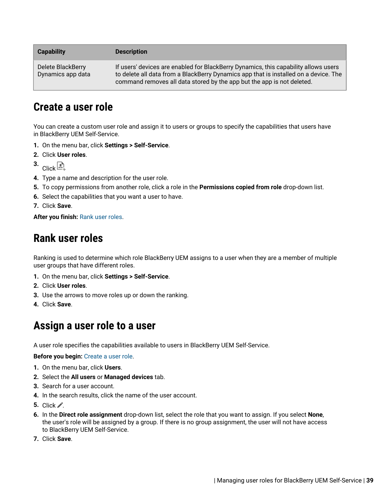| <b>Capability</b>                      | <b>Description</b>                                                                                                                                                                                                                                    |
|----------------------------------------|-------------------------------------------------------------------------------------------------------------------------------------------------------------------------------------------------------------------------------------------------------|
| Delete BlackBerry<br>Dynamics app data | If users' devices are enabled for BlackBerry Dynamics, this capability allows users<br>to delete all data from a BlackBerry Dynamics app that is installed on a device. The<br>command removes all data stored by the app but the app is not deleted. |
|                                        |                                                                                                                                                                                                                                                       |

### <span id="page-38-0"></span>**Create a user role**

You can create a custom user role and assign it to users or groups to specify the capabilities that users have in BlackBerry UEM Self-Service.

- **1.** On the menu bar, click **Settings > Self-Service**.
- **2.** Click **User roles**.
- **3.** Click
- **4.** Type a name and description for the user role.
- **5.** To copy permissions from another role, click a role in the **Permissions copied from role** drop-down list.
- **6.** Select the capabilities that you want a user to have.
- **7.** Click **Save**.

After you finish: [Rank user roles.](#page-38-1)

## <span id="page-38-1"></span>**Rank user roles**

Ranking is used to determine which role BlackBerry UEM assigns to a user when they are a member of multiple user groups that have different roles.

- **1.** On the menu bar, click **Settings > Self-Service**.
- **2.** Click **User roles**.
- **3.** Use the arrows to move roles up or down the ranking.
- **4.** Click **Save**.

## <span id="page-38-2"></span>**Assign a user role to a user**

A user role specifies the capabilities available to users in BlackBerry UEM Self-Service.

**Before you begin:** [Create a user role.](#page-38-0)

- **1.** On the menu bar, click **Users**.
- **2.** Select the **All users** or **Managed devices** tab.
- **3.** Search for a user account.
- **4.** In the search results, click the name of the user account.
- **5.** Click ∕.
- **6.** In the **Direct role assignment** drop-down list, select the role that you want to assign. If you select **None**, the user's role will be assigned by a group. If there is no group assignment, the user will not have access to BlackBerry UEM Self-Service.
- **7.** Click **Save**.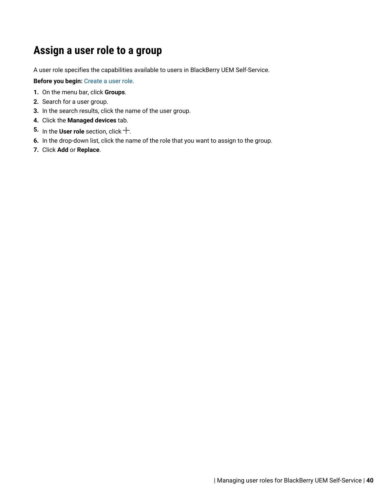# <span id="page-39-0"></span>**Assign a user role to a group**

A user role specifies the capabilities available to users in BlackBerry UEM Self-Service.

**Before you begin:** [Create a user role.](#page-38-0)

- **1.** On the menu bar, click **Groups**.
- **2.** Search for a user group.
- **3.** In the search results, click the name of the user group.
- **4.** Click the **Managed devices** tab.
- **5.** In the User role section, click  $+$ .
- **6.** In the drop-down list, click the name of the role that you want to assign to the group.
- **7.** Click **Add** or **Replace**.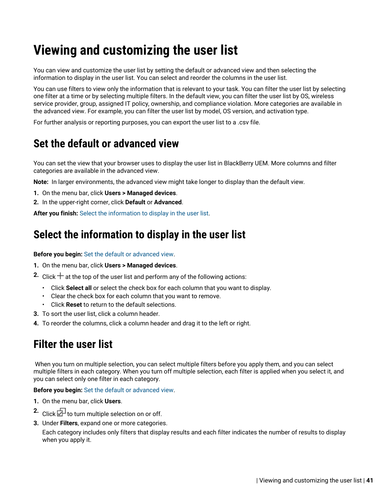# <span id="page-40-0"></span>**Viewing and customizing the user list**

You can view and customize the user list by setting the default or advanced view and then selecting the information to display in the user list. You can select and reorder the columns in the user list.

You can use filters to view only the information that is relevant to your task. You can filter the user list by selecting one filter at a time or by selecting multiple filters. In the default view, you can filter the user list by OS, wireless service provider, group, assigned IT policy, ownership, and compliance violation. More categories are available in the advanced view. For example, you can filter the user list by model, OS version, and activation type.

For further analysis or reporting purposes, you can export the user list to a .csv file.

# <span id="page-40-1"></span>**Set the default or advanced view**

You can set the view that your browser uses to display the user list in BlackBerry UEM. More columns and filter categories are available in the advanced view.

**Note:** In larger environments, the advanced view might take longer to display than the default view.

- **1.** On the menu bar, click **Users > Managed devices**.
- **2.** In the upper-right corner, click **Default** or **Advanced**.

**After you finish:** [Select the information to display in the user list](#page-40-2).

## <span id="page-40-2"></span>**Select the information to display in the user list**

**Before you begin:** [Set the default or advanced view.](#page-40-1)

- **1.** On the menu bar, click **Users > Managed devices**.
- **2.** Click  $+$  at the top of the user list and perform any of the following actions:
	- Click **Select all** or select the check box for each column that you want to display.
	- Clear the check box for each column that you want to remove.
	- Click **Reset** to return to the default selections.
- **3.** To sort the user list, click a column header.
- **4.** To reorder the columns, click a column header and drag it to the left or right.

# <span id="page-40-3"></span>**Filter the user list**

 When you turn on multiple selection, you can select multiple filters before you apply them, and you can select multiple filters in each category. When you turn off multiple selection, each filter is applied when you select it, and you can select only one filter in each category.

**Before you begin:** [Set the default or advanced view.](#page-40-1)

- **1.** On the menu bar, click **Users**.
- **2.** Click **D** to turn multiple selection on or off.
- **3.** Under **Filters**, expand one or more categories.

Each category includes only filters that display results and each filter indicates the number of results to display when you apply it.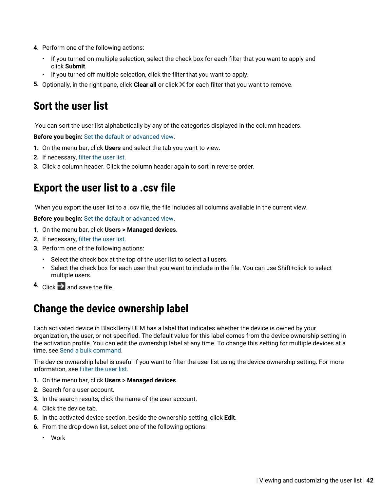- **4.** Perform one of the following actions:
	- If you turned on multiple selection, select the check box for each filter that you want to apply and click **Submit**.
	- If you turned off multiple selection, click the filter that you want to apply.
- **5.** Optionally, in the right pane, click **Clear all** or click **X** for each filter that you want to remove.

# <span id="page-41-0"></span>**Sort the user list**

You can sort the user list alphabetically by any of the categories displayed in the column headers.

**Before you begin:** [Set the default or advanced view.](#page-40-1)

- **1.** On the menu bar, click **Users** and select the tab you want to view.
- **2.** If necessary, [filter the user list.](#page-40-3)
- **3.** Click a column header. Click the column header again to sort in reverse order.

# <span id="page-41-1"></span>**Export the user list to a .csv file**

When you export the user list to a .csv file, the file includes all columns available in the current view.

**Before you begin:** [Set the default or advanced view.](#page-40-1)

- **1.** On the menu bar, click **Users > Managed devices**.
- **2.** If necessary, [filter the user list.](#page-40-3)
- **3.** Perform one of the following actions:
	- Select the check box at the top of the user list to select all users.
	- Select the check box for each user that you want to include in the file. You can use Shift+click to select multiple users.
- **4.** Click  $\rightarrow$  and save the file.

# <span id="page-41-2"></span>**Change the device ownership label**

Each activated device in BlackBerry UEM has a label that indicates whether the device is owned by your organization, the user, or not specified. The default value for this label comes from the device ownership setting in the activation profile. You can edit the ownership label at any time. To change this setting for multiple devices at a time, see [Send a bulk command](https://docs.blackberry.com/en/endpoint-management/blackberry-uem/12_14/administration/device-features-it-policies/kla1374503643678/gxj1492022510937.html).

The device ownership label is useful if you want to filter the user list using the device ownership setting. For more information, see [Filter the user list.](#page-40-3)

- **1.** On the menu bar, click **Users > Managed devices**.
- **2.** Search for a user account.
- **3.** In the search results, click the name of the user account.
- **4.** Click the device tab.
- **5.** In the activated device section, beside the ownership setting, click **Edit**.
- **6.** From the drop-down list, select one of the following options:
	- Work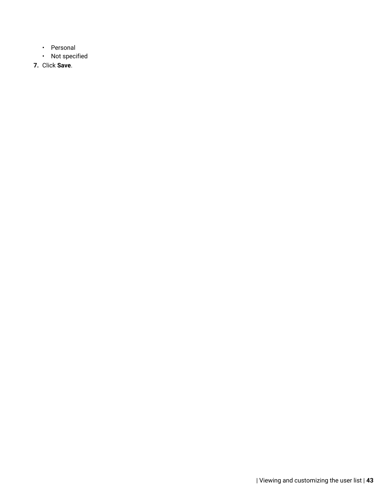- Personal
- Not specified
- **7.** Click **Save**.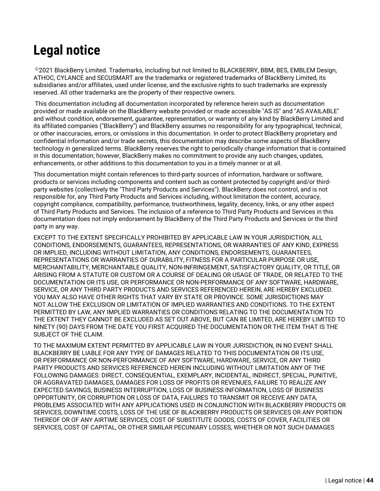# <span id="page-43-0"></span>**Legal notice**

©2021 BlackBerry Limited. Trademarks, including but not limited to BLACKBERRY, BBM, BES, EMBLEM Design, ATHOC, CYLANCE and SECUSMART are the trademarks or registered trademarks of BlackBerry Limited, its subsidiaries and/or affiliates, used under license, and the exclusive rights to such trademarks are expressly reserved. All other trademarks are the property of their respective owners.

This documentation including all documentation incorporated by reference herein such as documentation provided or made available on the BlackBerry website provided or made accessible "AS IS" and "AS AVAILABLE" and without condition, endorsement, guarantee, representation, or warranty of any kind by BlackBerry Limited and its affiliated companies ("BlackBerry") and BlackBerry assumes no responsibility for any typographical, technical, or other inaccuracies, errors, or omissions in this documentation. In order to protect BlackBerry proprietary and confidential information and/or trade secrets, this documentation may describe some aspects of BlackBerry technology in generalized terms. BlackBerry reserves the right to periodically change information that is contained in this documentation; however, BlackBerry makes no commitment to provide any such changes, updates, enhancements, or other additions to this documentation to you in a timely manner or at all.

This documentation might contain references to third-party sources of information, hardware or software, products or services including components and content such as content protected by copyright and/or thirdparty websites (collectively the "Third Party Products and Services"). BlackBerry does not control, and is not responsible for, any Third Party Products and Services including, without limitation the content, accuracy, copyright compliance, compatibility, performance, trustworthiness, legality, decency, links, or any other aspect of Third Party Products and Services. The inclusion of a reference to Third Party Products and Services in this documentation does not imply endorsement by BlackBerry of the Third Party Products and Services or the third party in any way.

EXCEPT TO THE EXTENT SPECIFICALLY PROHIBITED BY APPLICABLE LAW IN YOUR JURISDICTION, ALL CONDITIONS, ENDORSEMENTS, GUARANTEES, REPRESENTATIONS, OR WARRANTIES OF ANY KIND, EXPRESS OR IMPLIED, INCLUDING WITHOUT LIMITATION, ANY CONDITIONS, ENDORSEMENTS, GUARANTEES, REPRESENTATIONS OR WARRANTIES OF DURABILITY, FITNESS FOR A PARTICULAR PURPOSE OR USE, MERCHANTABILITY, MERCHANTABLE QUALITY, NON-INFRINGEMENT, SATISFACTORY QUALITY, OR TITLE, OR ARISING FROM A STATUTE OR CUSTOM OR A COURSE OF DEALING OR USAGE OF TRADE, OR RELATED TO THE DOCUMENTATION OR ITS USE, OR PERFORMANCE OR NON-PERFORMANCE OF ANY SOFTWARE, HARDWARE, SERVICE, OR ANY THIRD PARTY PRODUCTS AND SERVICES REFERENCED HEREIN, ARE HEREBY EXCLUDED. YOU MAY ALSO HAVE OTHER RIGHTS THAT VARY BY STATE OR PROVINCE. SOME JURISDICTIONS MAY NOT ALLOW THE EXCLUSION OR LIMITATION OF IMPLIED WARRANTIES AND CONDITIONS. TO THE EXTENT PERMITTED BY LAW, ANY IMPLIED WARRANTIES OR CONDITIONS RELATING TO THE DOCUMENTATION TO THE EXTENT THEY CANNOT BE EXCLUDED AS SET OUT ABOVE, BUT CAN BE LIMITED, ARE HEREBY LIMITED TO NINETY (90) DAYS FROM THE DATE YOU FIRST ACQUIRED THE DOCUMENTATION OR THE ITEM THAT IS THE SUBJECT OF THE CLAIM.

TO THE MAXIMUM EXTENT PERMITTED BY APPLICABLE LAW IN YOUR JURISDICTION, IN NO EVENT SHALL BLACKBERRY BE LIABLE FOR ANY TYPE OF DAMAGES RELATED TO THIS DOCUMENTATION OR ITS USE, OR PERFORMANCE OR NON-PERFORMANCE OF ANY SOFTWARE, HARDWARE, SERVICE, OR ANY THIRD PARTY PRODUCTS AND SERVICES REFERENCED HEREIN INCLUDING WITHOUT LIMITATION ANY OF THE FOLLOWING DAMAGES: DIRECT, CONSEQUENTIAL, EXEMPLARY, INCIDENTAL, INDIRECT, SPECIAL, PUNITIVE, OR AGGRAVATED DAMAGES, DAMAGES FOR LOSS OF PROFITS OR REVENUES, FAILURE TO REALIZE ANY EXPECTED SAVINGS, BUSINESS INTERRUPTION, LOSS OF BUSINESS INFORMATION, LOSS OF BUSINESS OPPORTUNITY, OR CORRUPTION OR LOSS OF DATA, FAILURES TO TRANSMIT OR RECEIVE ANY DATA, PROBLEMS ASSOCIATED WITH ANY APPLICATIONS USED IN CONJUNCTION WITH BLACKBERRY PRODUCTS OR SERVICES, DOWNTIME COSTS, LOSS OF THE USE OF BLACKBERRY PRODUCTS OR SERVICES OR ANY PORTION THEREOF OR OF ANY AIRTIME SERVICES, COST OF SUBSTITUTE GOODS, COSTS OF COVER, FACILITIES OR SERVICES, COST OF CAPITAL, OR OTHER SIMILAR PECUNIARY LOSSES, WHETHER OR NOT SUCH DAMAGES